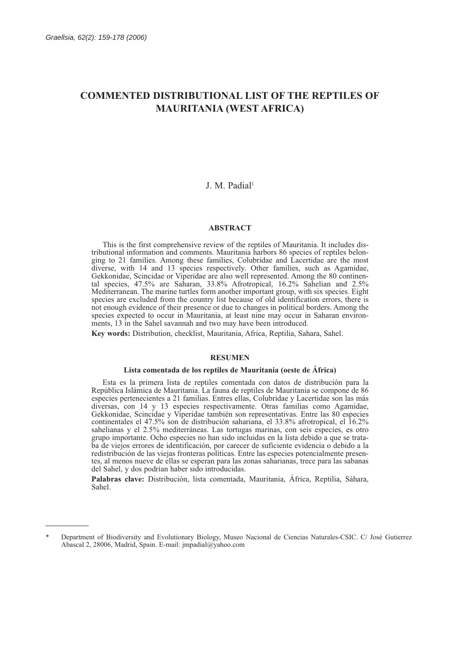# **COMMENTED DISTRIBUTIONAL LIST OF THE REPTILES OF MAURITANIA (WEST AFRICA)**

# J. M. Padial<sup>1</sup>

# **ABSTRACT**

This is the first comprehensive review of the reptiles of Mauritania. It includes distributional information and comments. Mauritania harbors 86 species of reptiles belonging to 21 families. Among these families, Colubridae and Lacertidae are the most diverse, with 14 and 13 species respectively. Other families, such as Agamidae, Gekkonidae, Scincidae or Viperidae are also well represented. Among the 80 continental species, 47.5% are Saharan, 33.8% Afrotropical, 16.2% Sahelian and 2.5% Mediterranean. The marine turtles form another important group, with six species. Eight species are excluded from the country list because of old identification errors, there is not enough evidence of their presence or due to changes in political borders. Among the species expected to occur in Mauritania, at least nine may occur in Saharan environments, 13 in the Sahel savannah and two may have been introduced.

**Key words:** Distribution, checklist, Mauritania, Africa, Reptilia, Sahara, Sahel.

# **RESUMEN**

### **Lista comentada de los reptiles de Mauritania (oeste de África)**

Esta es la primera lista de reptiles comentada con datos de distribución para la República Islámica de Mauritania. La fauna de reptiles de Mauritania se compone de 86 especies pertenecientes a 21 familias. Entres ellas, Colubridae y Lacertidae son las más diversas, con 14 y 13 especies respectivamente. Otras familias como Agamidae, Gekkonidae, Scincidae y Viperidae también son representativas. Entre las 80 especies continentales el 47.5% son de distribución sahariana, el 33.8% afrotropical, el 16.2% sahelianas y el 2.5% mediterráneas. Las tortugas marinas, con seis especies, es otro grupo importante. Ocho especies no han sido incluidas en la lista debido a que se trataba de viejos errores de identificación, por carecer de suficiente evidencia o debido a la redistribución de las viejas fronteras políticas. Entre las especies potencialmente presentes, al menos nueve de ellas se esperan para las zonas saharianas, trece para las sabanas del Sahel, y dos podrían haber sido introducidas.

**Palabras clave:** Distribución, lista comentada, Mauritania, África, Reptilia, Sáhara, Sahel.

<sup>\*</sup> Department of Biodiversity and Evolutionary Biology, Museo Nacional de Ciencias Naturales-CSIC. C/ José Gutierrez Abascal 2, 28006, Madrid, Spain. E-mail: jmpadial@yahoo.com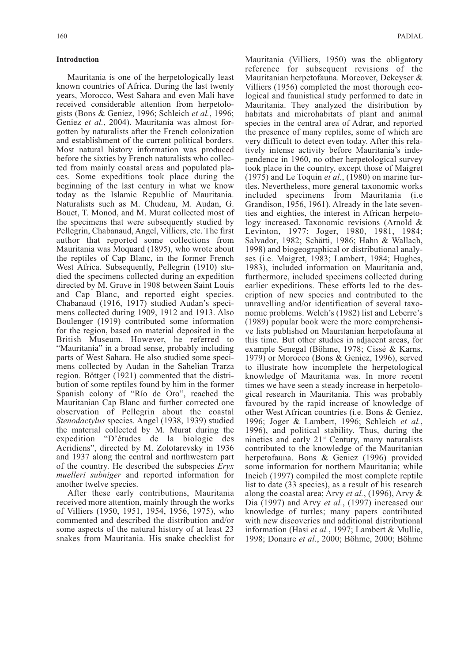# **Introduction**

Mauritania is one of the herpetologically least known countries of Africa. During the last twenty years, Morocco, West Sahara and even Mali have received considerable attention from herpetologists (Bons & Geniez, 1996; Schleich *et al.*, 1996; Geniez *et al.*, 2004). Mauritania was almost forgotten by naturalists after the French colonization and establishment of the current political borders. Most natural history information was produced before the sixties by French naturalists who collected from mainly coastal areas and populated places. Some expeditions took place during the beginning of the last century in what we know today as the Islamic Republic of Mauritania. Naturalists such as M. Chudeau, M. Audan, G. Bouet, T. Monod, and M. Murat collected most of the specimens that were subsequently studied by Pellegrin, Chabanaud, Angel, Villiers, etc. The first author that reported some collections from Mauritania was Moquard (1895), who wrote about the reptiles of Cap Blanc, in the former French West Africa. Subsequently, Pellegrin (1910) studied the specimens collected during an expedition directed by M. Gruve in 1908 between Saint Louis and Cap Blanc, and reported eight species. Chabanaud (1916, 1917) studied Audan's specimens collected during 1909, 1912 and 1913. Also Boulenger (1919) contributed some information for the region, based on material deposited in the British Museum. However, he referred to "Mauritania" in a broad sense, probably including parts of West Sahara. He also studied some specimens collected by Audan in the Sahelian Trarza region. Böttger (1921) commented that the distribution of some reptiles found by him in the former Spanish colony of "Río de Oro", reached the Mauritanian Cap Blanc and further corrected one observation of Pellegrin about the coastal *Stenodactylus* species. Angel (1938, 1939) studied the material collected by M. Murat during the expedition "D'études de la biologie des Acridiens", directed by M. Zolotarevsky in 1936 and 1937 along the central and northwestern part of the country. He described the subspecies *Eryx muelleri subniger* and reported information for another twelve species.

After these early contributions, Mauritania received more attention, mainly through the works of Villiers (1950, 1951, 1954, 1956, 1975), who commented and described the distribution and/or some aspects of the natural history of at least 23 snakes from Mauritania. His snake checklist for Mauritania (Villiers, 1950) was the obligatory reference for subsequent revisions of the Mauritanian herpetofauna. Moreover, Dekeyser & Villiers (1956) completed the most thorough ecological and faunistical study performed to date in Mauritania. They analyzed the distribution by habitats and microhabitats of plant and animal species in the central area of Adrar, and reported the presence of many reptiles, some of which are very difficult to detect even today. After this relatively intense activity before Mauritania's independence in 1960, no other herpetological survey took place in the country, except those of Maigret  $(1975)$  and Le Toquin *et al.*,  $(1980)$  on marine turtles. Nevertheless, more general taxonomic works included specimens from Mauritania (i.e Grandison, 1956, 1961). Already in the late seventies and eighties, the interest in African herpetology increased. Taxonomic revisions (Arnold & Levinton, 1977; Joger, 1980, 1981, 1984; Salvador, 1982; Schätti, 1986; Hahn & Wallach, 1998) and biogeographical or distributional analyses (i.e. Maigret, 1983; Lambert, 1984; Hughes, 1983), included information on Mauritania and, furthermore, included specimens collected during earlier expeditions. These efforts led to the description of new species and contributed to the unravelling and/or identification of several taxonomic problems. Welch's (1982) list and Leberre's (1989) popular book were the more comprehensive lists published on Mauritanian herpetofauna at this time. But other studies in adjacent areas, for example Senegal (Böhme, 1978; Cissé & Karns, 1979) or Morocco (Bons & Geniez, 1996), served to illustrate how incomplete the herpetological knowledge of Mauritania was. In more recent times we have seen a steady increase in herpetological research in Mauritania. This was probably favoured by the rapid increase of knowledge of other West African countries (i.e. Bons & Geniez, 1996; Joger & Lambert, 1996; Schleich *et al.*, 1996), and political stability. Thus, during the nineties and early 21<sup>st</sup> Century, many naturalists contributed to the knowledge of the Mauritanian herpetofauna. Bons & Geniez (1996) provided some information for northern Mauritania; while Ineich (1997) compiled the most complete reptile list to date (33 species), as a result of his research along the coastal area; Arvy *et al.*, (1996), Arvy & Dia (1997) and Arvy *et al.*, (1997) increased our knowledge of turtles; many papers contributed with new discoveries and additional distributional information (Hasi *et al.*, 1997; Lambert & Mullie, 1998; Donaire *et al.*, 2000; Böhme, 2000; Böhme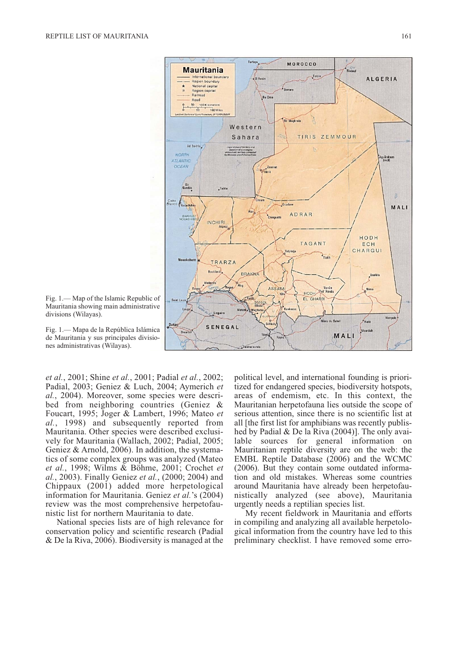

Fig. 1.— Map of the Islamic Republic of Mauritania showing main administrative divisions (Wilayas).

Fig. 1.— Mapa de la República Islámica de Mauritania y sus principales divisiones administrativas (Wilayas).

*et al.*, 2001; Shine *et al.*, 2001; Padial *et al.*, 2002; Padial, 2003; Geniez & Luch, 2004; Aymerich *et al.*, 2004). Moreover, some species were described from neighboring countries (Geniez & Foucart, 1995; Joger & Lambert, 1996; Mateo *et al.*, 1998) and subsequently reported from Mauritania. Other species were described exclusively for Mauritania (Wallach, 2002; Padial, 2005; Geniez & Arnold, 2006). In addition, the systematics of some complex groups was analyzed (Mateo *et al.*, 1998; Wilms & Böhme, 2001; Crochet *et al.*, 2003). Finally Geniez *et al.*, (2000; 2004) and Chippaux (2001) added more herpetological information for Mauritania. Geniez *et al.*'s (2004) review was the most comprehensive herpetofaunistic list for northern Mauritania to date.

National species lists are of high relevance for conservation policy and scientific research (Padial & De la Riva, 2006). Biodiversity is managed at the political level, and international founding is prioritized for endangered species, biodiversity hotspots, areas of endemism, etc. In this context, the Mauritanian herpetofauna lies outside the scope of serious attention, since there is no scientific list at all [the first list for amphibians was recently published by Padial & De la Riva (2004)]. The only available sources for general information on Mauritanian reptile diversity are on the web: the EMBL Reptile Database (2006) and the WCMC (2006). But they contain some outdated information and old mistakes. Whereas some countries around Mauritania have already been herpetofaunistically analyzed (see above), Mauritania urgently needs a reptilian species list.

My recent fieldwork in Mauritania and efforts in compiling and analyzing all available herpetological information from the country have led to this preliminary checklist. I have removed some erro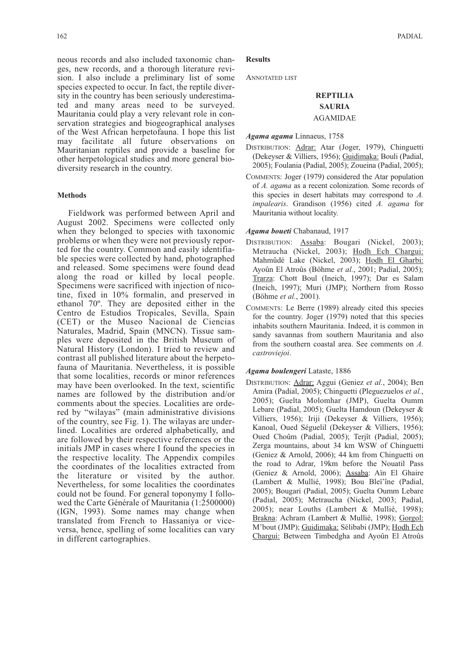neous records and also included taxonomic changes, new records, and a thorough literature revision. I also include a preliminary list of some species expected to occur. In fact, the reptile diversity in the country has been seriously underestimated and many areas need to be surveyed. Mauritania could play a very relevant role in conservation strategies and biogeographical analyses of the West African herpetofauna. I hope this list may facilitate all future observations on Mauritanian reptiles and provide a baseline for other herpetological studies and more general biodiversity research in the country.

### **Methods**

Fieldwork was performed between April and August 2002. Specimens were collected only when they belonged to species with taxonomic problems or when they were not previously reported for the country. Common and easily identifiable species were collected by hand, photographed and released. Some specimens were found dead along the road or killed by local people. Specimens were sacrificed with injection of nicotine, fixed in 10% formalin, and preserved in ethanol 70º. They are deposited either in the Centro de Estudios Tropicales, Sevilla, Spain (CET) or the Museo Nacional de Ciencias Naturales, Madrid, Spain (MNCN). Tissue samples were deposited in the British Museum of Natural History (London). I tried to review and contrast all published literature about the herpetofauna of Mauritania. Nevertheless, it is possible that some localities, records or minor references may have been overlooked. In the text, scientific names are followed by the distribution and/or comments about the species. Localities are ordered by "wilayas" (main administrative divisions of the country, see Fig. 1). The wilayas are underlined. Localities are ordered alphabetically, and are followed by their respective references or the initials JMP in cases where I found the species in the respective locality. The Appendix compiles the coordinates of the localities extracted from the literature or visited by the author. Nevertheless, for some localities the coordinates could not be found. For general toponymy I followed the Carte Générale of Mauritania (1:2500000) (IGN, 1993). Some names may change when translated from French to Hassaniya or viceversa, hence, spelling of some localities can vary in different cartographies.

# **Results**

ANNOTATED LIST

# **REPTILIA SAURIA** AGAMIDAE

### *Agama agama* Linnaeus, 1758

- DISTRIBUTION: Adrar: Atar (Joger, 1979), Chinguetti (Dekeyser & Villiers, 1956); Guidimaka: Bouli (Padial, 2005); Foulania (Padial, 2005); Zoueina (Padial, 2005);
- COMMENTS: Joger (1979) considered the Atar population of *A. agama* as a recent colonization. Some records of this species in desert habitats may correspond to *A. impalearis*. Grandison (1956) cited *A. agama* for Mauritania without locality.

#### *Agama boueti* Chabanaud, 1917

- DISTRIBUTION: Assaba: Bougari (Nickel, 2003); Metraucha (Nickel, 2003); Hodh Ech Chargui: Mahmûdé Lake (Nickel, 2003); Hodh El Gharbi: Ayoûn El Atroûs (Böhme *et al.*, 2001; Padial, 2005); Trarza: Chott Boul (Ineich, 1997); Dar es Salam (Ineich, 1997); Muri (JMP); Northern from Rosso (Böhme *et al.*, 2001).
- COMMENTS: Le Berre (1989) already cited this species for the country. Joger (1979) noted that this species inhabits southern Mauritania. Indeed, it is common in sandy savannas from southern Mauritania and also from the southern coastal area. See comments on *A. castroviejoi*.

### *Agama boulengeri* Lataste, 1886

DISTRIBUTION: Adrar: Aggui (Geniez *et al.*, 2004); Ben Amira (Padial, 2005); Chinguetti (Pleguezuelos *et al.*, 2005); Guelta Molomhar (JMP), Guelta Oumm Lebare (Padial, 2005); Guelta Hamdoun (Dekeyser & Villiers, 1956); Iriji (Dekeyser & Villiers, 1956); Kanoal, Oued Séguelil (Dekeyser & Villiers, 1956); Oued Choûm (Padial, 2005); Terjît (Padial, 2005); Zerga mountains, about 34 km WSW of Chinguetti (Geniez & Arnold, 2006); 44 km from Chinguetti on the road to Adrar, 19km before the Nouatil Pass (Geniez & Arnold, 2006); Assaba: Aïn El Ghaire (Lambert & Mullié, 1998); Bou Bleï'îne (Padial, 2005); Bougari (Padial, 2005); Guelta Oumm Lebare (Padial, 2005); Metraucha (Nickel, 2003; Padial, 2005); near Louths (Lambert & Mullié, 1998); Brakna: Achram (Lambert & Mullié, 1998); Gorgol: M'bout (JMP); Guidimaka: Sélibabi (JMP); Hodh Ech Chargui: Between Timbedgha and Ayoûn El Atroûs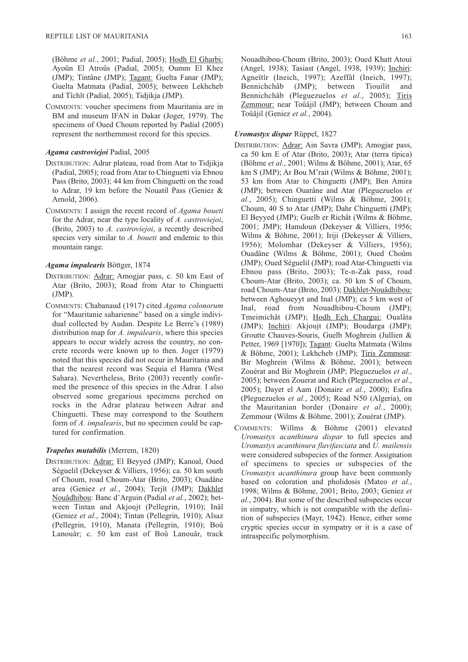(Böhme *et al.*, 2001; Padial, 2005); Hodh El Gharbi: Ayoûn El Atroûs (Padial, 2005); Oumm El Khez (JMP); Tintâne (JMP); Tagant: Guelta Fanar (JMP); Guelta Matmata (Padial, 2005); between Lekhcheb and Tîchît (Padial, 2005); Tidjikja (JMP).

COMMENTS: voucher specimens from Mauritania are in BM and museum IFAN in Dakar (Joger, 1979). The specimens of Oued Choum reported by Padial (2005) represent the northernmost record for this species.

### *Agama castroviejoi* Padial, 2005

- DISTRIBUTION: Adrar plateau, road from Atar to Tidjikja (Padial, 2005); road from Atar to Chinguetti via Ebnou Pass (Brito, 2003); 44 km from Chinguetti on the road to Adrar, 19 km before the Nouatil Pass (Geniez & Arnold, 2006).
- COMMENTS: I assign the recent record of *Agama boueti* for the Adrar, near the type locality of *A. castroviejoi*, (Brito, 2003) to *A. castroviejoi*, a recently described species very similar to *A. boueti* and endemic to this mountain range.

# *Agama impalearis* Böttger, 1874

- DISTRIBUTION: Adrar: Amogjar pass, c. 50 km East of Atar (Brito, 2003); Road from Atar to Chinguetti (JMP).
- COMMENTS: Chabanaud (1917) cited *Agama colonorum* for "Mauritanie saharienne" based on a single individual collected by Audan. Despite Le Berre's (1989) distribution map for *A. impalearis*, where this species appears to occur widely across the country, no concrete records were known up to then. Joger (1979) noted that this species did not occur in Mauritania and that the nearest record was Sequia el Hamra (West Sahara). Nevertheless, Brito (2003) recently confirmed the presence of this species in the Adrar. I also observed some gregarious specimens perched on rocks in the Adrar plateau between Adrar and Chinguetti. These may correspond to the Southern form of *A. impalearis*, but no specimen could be captured for confirmation.

### *Trapelus mutabilis* (Merrem, 1820)

DISTRIBUTION: Adrar: El Beyyed (JMP); Kanoal, Oued Séguelil (Dekeyser & Villiers, 1956); ca. 50 km south of Choum, road Choum-Atar (Brito, 2003); Ouadâne area (Geniez *et al.*, 2004); Terjît (JMP); Dakhlet Nouâdhibou: Banc d'Arguin (Padial *et al.*, 2002); between Tintan and Akjoujt (Pellegrin, 1910); Inâl (Geniez *et al.*, 2004); Tintan (Pellegrin, 1910); Alsaz (Pellegrin, 1910), Manata (Pellegrin, 1910); Boû Lanouâr; c. 50 km east of Boû Lanouâr, track

Nouadhibou-Choum (Brito, 2003); Oued Khatt Atoui (Angel, 1938); Tasiast (Angel, 1938, 1939); Inchiri: Agneïtîr (Ineich, 1997); Azeffâl (Ineich, 1997); Bennichchâb (JMP); between Tiouilit and Bennichchâb (Pleguezuelos *et al.*, 2005); Tiris Zemmour: near Toûâjil (JMP); between Choum and Toûâjil (Geniez *et al.*, 2004).

### *Uromastyx dispar* Rüppel, 1827

- DISTRIBUTION: Adrar: Ain Savra (JMP); Amogjar pass, ca 50 km E of Atar (Brito, 2003); Atar (terra típica) (Böhme *et al.*, 2001; Wilms & Böhme, 2001); Atar, 65 km S (JMP); Ar Bou M'rait (Wilms & Böhme, 2001); 53 km from Atar to Chinguetti (JMP); Ben Amira (JMP); between Ouarâne and Atar (Pleguezuelos *et al.*, 2005); Chinguetti (Wilms & Böhme, 2001); Choum, 40 S to Atar (JMP); Dahr Chinguetti (JMP); El Beyyed (JMP); Guelb er Richât (Wilms & Böhme, 2001; JMP); Hamdoun (Dekeyser & Villiers, 1956; Wilms & Böhme, 2001); Iriji (Dekeyser & Villiers, 1956); Molomhar (Dekeyser & Villiers, 1956); Ouadâne (Wilms & Böhme, 2001); Oued Choûm (JMP); Oued Séguelil (JMP); road Atar-Chinguetti via Ebnou pass (Brito, 2003); Te-n-Zak pass, road Choum-Atar (Brito, 2003); ca. 50 km S of Choum, road Choum-Atar (Brito, 2003); Dakhlet-Nouâdhibou: between Aghoueyyt and Inal (JMP); ca 5 km west of Inal, road from Nouadhibou-Choum (JMP); Tmeimichât (JMP); Hodh Ech Chargui: Oualâta (JMP); Inchiri: Akjoujt (JMP); Boudarga (JMP); Groutte Chauves-Souris, Guelb Moghrein (Jullien & Petter, 1969 [1970]); Tagant: Guelta Matmata (Wilms & Böhme, 2001); Lekhcheb (JMP); Tiris Zemmour: Bir Moghrein (Wilms & Böhme, 2001); between Zouérat and Bir Moghrein (JMP; Pleguezuelos *et al.*, 2005); between Zouerat and Rich (Pleguezuelos *et al.*, 2005); Dayet el Aam (Donaire *et al.*, 2000); Esfira (Pleguezuelos *et al.*, 2005); Road N50 (Algeria), on the Mauritanian border (Donaire *et al.*, 2000); Zemmour (Wilms & Böhme, 2001); Zouérat (JMP).
- COMMENTS: Willms & Böhme (2001) elevated *Uromastyx acanthinura dispar* to full species and *Uromastyx acanthinura flavifasciata* and *U. mailensis* were considered subspecies of the former. Assignation of specimens to species or subspecies of the *Uromastyx acanthinura* group have been commonly based on coloration and pholidosis (Mateo *et al.*, 1998; Wilms & Böhme, 2001; Brito, 2003; Geniez *et al.*, 2004). But some of the described subspecies occur in simpatry, which is not compatible with the definition of subspecies (Mayr, 1942). Hence, either some cryptic species occur in sympatry or it is a case of intraspecific polymorphism.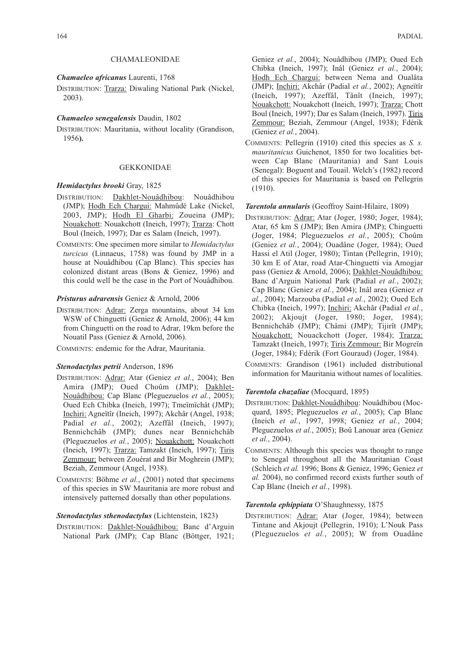### CHAMALEONIDAE

### *Chamaeleo africanus* Laurenti, 1768

DISTRIBUTION: Trarza: Diwaling National Park (Nickel, 2003).

#### *Chamaeleo senegalensis* Daudin, 1802

DISTRIBUTION: Mauritania, without locality (Grandison, 1956**).**

# GEKKONIDAE

# *Hemidactylus brooki* Gray, 1825

- DISTRIBUTION: Dakhlet-Nouâdhibou: Nouâdhibou (JMP); Hodh Ech Chargui: Mahmûdé Lake (Nickel, 2003, JMP); Hodh El Gharbi: Zoueina (JMP); Nouakchott: Nouakchott (Ineich, 1997); Trarza: Chott Boul (Ineich, 1997); Dar es Salam (Ineich, 1997).
- COMMENTS: One specimen more similar to *Hemidactylus turcicus* (Linnaeus, 1758) was found by JMP in a house at Nouâdhibou (Cap Blanc). This species has colonized distant areas (Bons & Geniez, 1996) and this could well be the case in the Port of Nouâdhibou.

### *Pristurus adrarensis* Geniez & Arnold, 2006

DISTRIBUTION: Adrar: Zerga mountains, about 34 km WSW of Chinguetti (Geniez & Arnold, 2006); 44 km from Chinguetti on the road to Adrar, 19km before the Nouatil Pass (Geniez & Arnold, 2006).

COMMENTS: endemic for the Adrar, Mauritania.

# *Stenodactylus petrii* Anderson, 1896

- DISTRIBUTION: Adrar: Atar (Geniez *et al.*, 2004); Ben Amira (JMP); Oued Choûm (JMP); Dakhlet-Nouâdhibou: Cap Blanc (Pleguezuelos *et al.*, 2005); Oued Ech Chibka (Ineich, 1997); Tmeïmïchât (JMP); Inchiri: Agneïtîr (Ineich, 1997); Akchâr (Angel, 1938; Padial *et al.*, 2002); Azeffâl (Ineich, 1997); Bennichchâb (JMP); dunes near Bennichchâb (Pleguezuelos *et al.*, 2005); Nouakchott: Nouakchott (Ineich, 1997); Trarza: Tamzakt (Ineich, 1997); Tiris Zemmour: between Zouérat and Bir Moghrein (JMP); Beziah, Zemmour (Angel, 1938).
- COMMENTS: Böhme *et al.*, (2001) noted that specimens of this species in SW Mauritania are more robust and intensively patterned dorsally than other populations.

### *Stenodactylus sthenodactylus* (Lichtenstein, 1823)

DISTRIBUTION: Dakhlet-Nouâdhibou: Banc d'Arguin National Park (JMP); Cap Blanc (Böttger, 1921; Geniez *et al.*, 2004); Nouâdhibou (JMP); Oued Ech Chibka (Ineich, 1997); Inâl (Geniez *et al.*, 2004); Hodh Ech Chargui: between Nema and Oualâta (JMP); Inchiri: Akchâr (Padial *et al.*, 2002); Agneïtîr (Ineich, 1997); Azeffâl, Tânît (Ineich, 1997); Nouakchott: Nouakchott (Ineich, 1997); Trarza: Chott Boul (Ineich, 1997); Dar es Salam (Ineich, 1997). Tiris Zemmour: Beziah, Zemmour (Angel, 1938); Fdérik (Geniez *et al.*, 2004).

COMMENTS: Pellegrin (1910) cited this species as *S. s. mauritanicus* Guichenot, 1850 for two localities between Cap Blanc (Mauritania) and Sant Louis (Senegal): Boguent and Touail. Welch's (1982) record of this species for Mauritania is based on Pellegrin (1910).

#### *Tarentola annularis* (Geoffroy Saint-Hilaire, 1809)

- DISTRIBUTION: Adrar: Atar (Joger, 1980; Joger, 1984); Atar, 65 km S (JMP); Ben Amira (JMP); Chinguetti (Joger, 1984; Pleguezuelos *et al.*, 2005); Choûm (Geniez *et al.*, 2004); Ouadâne (Joger, 1984); Oued Hassi el Atil (Joger, 1980); Tintan (Pellegrin, 1910); 30 km E of Atar, road Atar-Chinguetti via Amogjar pass (Geniez & Arnold, 2006); Dakhlet-Nouâdhibou: Banc d'Arguin National Park (Padial *et al.*, 2002); Cap Blanc (Geniez *et al.*, 2004); Inâl area (Geniez *et al.*, 2004); Marzouba (Padial *et al.*, 2002); Oued Ech Chibka (Ineich, 1997); Inchiri: Akchâr (Padial *et al.*, 2002); Akjoujt (Joger, 1980; Joger, 1984); Bennichchâb (JMP); Châmi (JMP); Tijirît (JMP); Nouakchott: Nouackchott (Joger, 1984); Trarza: Tamzakt (Ineich, 1997); Tiris Zemmour: Bir Mogreïn (Joger, 1984); Fdérik (Fort Gouraud) (Joger, 1984).
- COMMENTS: Grandison (1961) included distributional information for Mauritania without names of localities.

### *Tarentola chazaliae* (Mocquard, 1895)

- DISTRIBUTION: Dakhlet-Nouâdhibou: Nouâdhibou (Mocquard, 1895; Pleguezuelos *et al.*, 2005); Cap Blanc (Ineich *et al.*, 1997, 1998; Geniez *et al.*, 2004; Pleguezuelos *et al.*, 2005); Boû Lanouar area (Geniez *et al.*, 2004).
- COMMENTS: Although this species was thought to range to Senegal throughout all the Mauritanian Coast (Schleich *et al.* 1996; Bons & Geniez, 1996; Geniez *et al.* 2004), no confirmed record exists further south of Cap Blanc (Ineich *et al.*, 1998).

### *Tarentola ephippiata* O'Shaughnessy, 1875

DISTRIBUTION: Adrar: Atar (Joger, 1984); between Tintane and Akjoujt (Pellegrin, 1910); L'Nouk Pass (Pleguezuelos *et al.*, 2005); W from Ouadâne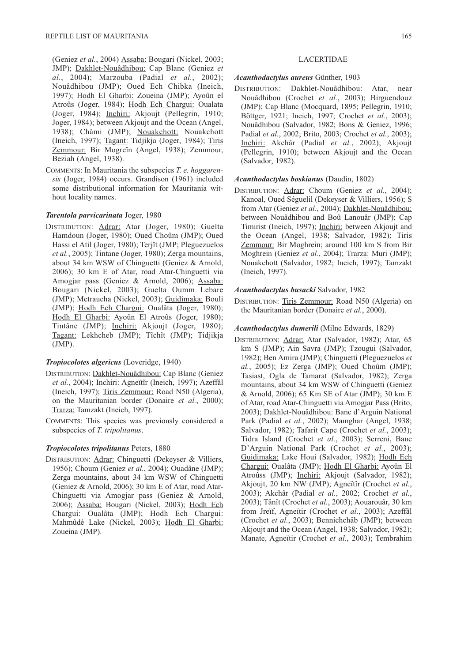(Geniez *et al.*, 2004) Assaba: Bougari (Nickel, 2003; JMP); Dakhlet-Nouâdhibou: Cap Blanc (Geniez *et al.*, 2004); Marzouba (Padial *et al.*, 2002); Nouâdhibou (JMP); Oued Ech Chibka (Ineich, 1997); Hodh El Gharbi: Zoueina (JMP); Ayoûn el Atroûs (Joger, 1984); Hodh Ech Chargui: Oualata (Joger, 1984); Inchiri: Akjoujt (Pellegrin, 1910; Joger, 1984); between Akjoujt and the Ocean (Angel, 1938); Châmi (JMP); Nouakchott: Nouakchott (Ineich, 1997); Tagant: Tidjikja (Joger, 1984); Tiris Zemmour: Bir Mogreïn (Angel, 1938); Zemmour, Beziah (Angel, 1938).

COMMENTS: In Mauritania the subspecies *T. e. hoggarensis* (Joger, 1984) occurs. Grandison (1961) included some distributional information for Mauritania without locality names.

#### *Tarentola parvicarinata* Joger, 1980

DISTRIBUTION: Adrar: Atar (Joger, 1980); Guelta Hamdoun (Joger, 1980); Oued Choûm (JMP); Oued Hassi el Atil (Joger, 1980); Terjît (JMP; Pleguezuelos *et al.*, 2005); Tintane (Joger, 1980); Zerga mountains, about 34 km WSW of Chinguetti (Geniez & Arnold, 2006); 30 km E of Atar, road Atar-Chinguetti via Amogjar pass (Geniez & Arnold, 2006); Assaba: Bougari (Nickel, 2003); Guelta Oumm Lebare (JMP); Metraucha (Nickel, 2003); Guidimaka: Bouli (JMP); Hodh Ech Chargui: Oualâta (Joger, 1980); Hodh El Gharbi: Ayoûn El Atroûs (Joger, 1980); Tintâne (JMP); Inchiri: Akjoujt (Joger, 1980); Tagant: Lekhcheb (JMP); Tîchît (JMP); Tidjikja (JMP).

### *Tropiocolotes algericus* (Loveridge, 1940)

- DISTRIBUTION: Dakhlet-Nouâdhibou: Cap Blanc (Geniez *et al.*, 2004); Inchiri: Agneïtîr (Ineich, 1997); Azeffâl (Ineich, 1997); Tiris Zemmour: Road N50 (Algeria), on the Mauritanian border (Donaire *et al.*, 2000); Trarza: Tamzakt (Ineich, 1997).
- COMMENTS: This species was previously considered a subspecies of *T. tripolitanus*.

### *Tropiocolotes tripolitanus* Peters, 1880

DISTRIBUTION: Adrar: Chinguetti (Dekeyser & Villiers, 1956); Choum (Geniez *et al.*, 2004); Ouadâne (JMP); Zerga mountains, about 34 km WSW of Chinguetti (Geniez & Arnold, 2006); 30 km E of Atar, road Atar-Chinguetti via Amogjar pass (Geniez & Arnold, 2006); Assaba: Bougari (Nickel, 2003); Hodh Ech Chargui: Oualâta (JMP); Hodh Ech Chargui: Mahmûdé Lake (Nickel, 2003); Hodh El Gharbi: Zoueina (JMP).

# *Acanthodactylus aureus* Günther, 1903

DISTRIBUTION: Dakhlet-Nouâdhibou: Atar, near Nouâdhibou (Crochet *et al.*, 2003); Birguendouz (JMP); Cap Blanc (Mocquard, 1895; Pellegrin, 1910; Böttger, 1921; Ineich, 1997; Crochet *et al.*, 2003); Nouâdhibou (Salvador, 1982; Bons & Geniez, 1996; Padial *et al.*, 2002; Brito, 2003; Crochet *et al.*, 2003); Inchiri: Akchâr (Padial *et al.*, 2002); Akjoujt (Pellegrin, 1910); between Akjoujt and the Ocean (Salvador, 1982).

# *Acanthodactylus boskianus* (Daudin, 1802)

DISTRIBUTION: Adrar: Choum (Geniez *et al.*, 2004); Kanoal, Oued Séguelil (Dekeyser & Villiers, 1956); S from Atar (Geniez *et al.*, 2004); Dakhlet-Nouâdhibou: between Nouâdhibou and Boû Lanouâr (JMP); Cap Timirist (Ineich, 1997); Inchiri: between Akjoujt and the Ocean (Angel, 1938; Salvador, 1982); Tiris Zemmour: Bir Moghrein; around 100 km S from Bir Moghrein (Geniez *et al.*, 2004); Trarza: Muri (JMP); Nouakchott (Salvador, 1982; Ineich, 1997); Tamzakt (Ineich, 1997).

### *Acanthodactylus busacki* Salvador, 1982

DISTRIBUTION: Tiris Zemmour: Road N50 (Algeria) on the Mauritanian border (Donaire *et al.*, 2000).

#### *Acanthodactylus dumerili* (Milne Edwards, 1829)

DISTRIBUTION: Adrar: Atar (Salvador, 1982); Atar, 65 km S (JMP); Ain Savra (JMP); Tzougui (Salvador, 1982); Ben Amira (JMP); Chinguetti (Pleguezuelos *et al.*, 2005); Ez Zerga (JMP); Oued Choûm (JMP); Tasiast, Ogla de Tamarat (Salvador, 1982); Zerga mountains, about 34 km WSW of Chinguetti (Geniez & Arnold, 2006); 65 Km SE of Atar (JMP); 30 km E of Atar, road Atar-Chinguetti via Amogjar Pass (Brito, 2003); Dakhlet-Nouâdhibou: Banc d'Arguin National Park (Padial *et al.*, 2002); Mamghar (Angel, 1938; Salvador, 1982); Tafarit Cape (Crochet *et al.*, 2003); Tidra Island (Crochet *et al.*, 2003); Serreni, Banc D'Arguin National Park (Crochet *et al.*, 2003); Guidimaka: Lake Houi (Salvador, 1982); Hodh Ech Chargui: Oualâta (JMP); Hodh El Gharbi: Ayoûn El Atroûss (JMP); Inchiri: Akjoujt (Salvador, 1982); Akjoujt, 20 km NW (JMP); Agneïtîr (Crochet *et al.*, 2003); Akchâr (Padial *et al.*, 2002; Crochet *et al.*, 2003); Tânît (Crochet *et al.*, 2003); Aouarouâr, 30 km from Jreïf, Agneïtir (Crochet *et al.*, 2003); Azeffâl (Crochet *et al.*, 2003); Bennichchâb (JMP); between Akjoujt and the Ocean (Angel, 1938; Salvador, 1982); Manate, Agneïtir (Crochet *et al.*, 2003); Tembrahim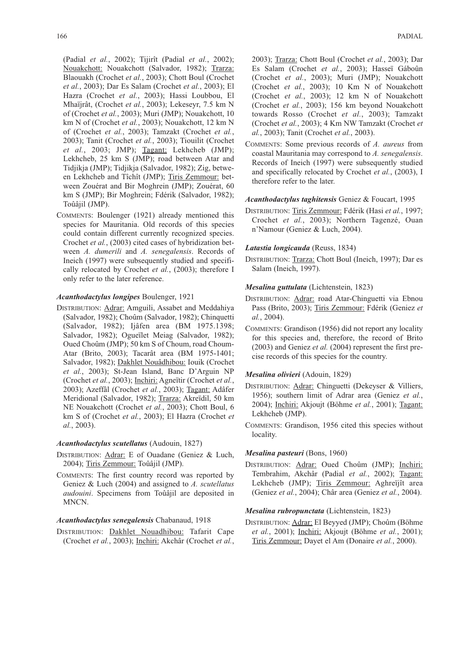(Padial *et al.*, 2002); Tijirît (Padial *et al.*, 2002); Nouakchott: Nouakchott (Salvador, 1982); Trarza: Blaouakh (Crochet *et al.*, 2003); Chott Boul (Crochet *et al.*, 2003); Dar Es Salam (Crochet *et al.*, 2003); El Hazra (Crochet *et al.*, 2003); Hassi Loubbou, El Mhaïjrât, (Crochet *et al.*, 2003); Lekeseyr, 7.5 km N of (Crochet *et al.*, 2003); Muri (JMP); Nouakchott, 10 km N of (Crochet *et al.*, 2003); Nouakchott, 12 km N of (Crochet *et al.*, 2003); Tamzakt (Crochet *et al.*, 2003); Tanit (Crochet *et al.*, 2003); Tiouilit (Crochet *et al.*, 2003; JMP); Tagant: Lekhcheb (JMP); Lekhcheb, 25 km S (JMP); road between Atar and Tidjikja (JMP); Tidjikja (Salvador, 1982); Zig, between Lekhcheb and Tîchît (JMP); Tiris Zemmour: between Zouérat and Bir Moghrein (JMP); Zouérat, 60 km S (JMP); Bir Moghrein; Fdérik (Salvador, 1982); Toûâjil (JMP).

COMMENTS: Boulenger (1921) already mentioned this species for Mauritania. Old records of this species could contain different currently recognized species. Crochet *et al.*, (2003) cited cases of hybridization between *A. dumerili* and *A. senegalensis*. Records of Ineich (1997) were subsequently studied and specifically relocated by Crochet *et al.*, (2003); therefore I only refer to the later reference.

### *Acanthodactylus longipes* Boulenger, 1921

DISTRIBUTION: Adrar: Amguili, Assabet and Meddahiya (Salvador, 1982); Choûm (Salvador, 1982); Chinquetti (Salvador, 1982); Ijâfen area (BM 1975.1398; Salvador, 1982); Ogueïlet Meiag (Salvador, 1982); Oued Choûm (JMP); 50 km S of Choum, road Choum-Atar (Brito, 2003); Tacarât area (BM 1975-1401; Salvador, 1982); Dakhlet Nouâdhibou: Iouik (Crochet *et al.*, 2003); St-Jean Island, Banc D'Arguin NP (Crochet *et al.*, 2003); Inchiri: Agneïtir (Crochet *et al.*, 2003); Azeffâl (Crochet *et al.*, 2003); Tagant: Adâfer Meridional (Salvador, 1982); Trarza: Akreïdil, 50 km NE Nouakchott (Crochet *et al.*, 2003); Chott Boul, 6 km S of (Crochet *et al.*, 2003); El Hazra (Crochet *et al.*, 2003).

### *Acanthodactylus scutellatus* (Audouin, 1827)

- DISTRIBUTION: Adrar: E of Ouadane (Geniez & Luch, 2004); Tiris Zemmour: Toûâjil (JMP).
- COMMENTS: The first country record was reported by Geniez & Luch (2004) and assigned to *A. scutellatus audouini*. Specimens from Toûâjil are deposited in MNCN.

# *Acanthodactylus senegalensis* Chabanaud, 1918

DISTRIBUTION: Dakhlet Nouadhibou: Tafarit Cape (Crochet *et al.*, 2003); Inchiri: Akchâr (Crochet *et al.*,

2003); Trarza: Chott Boul (Crochet *et al.*, 2003); Dar Es Salam (Crochet *et al.*, 2003); Hasseï Gáboûn (Crochet *et al.*, 2003); Muri (JMP); Nouakchott (Crochet *et al.*, 2003); 10 Km N of Nouakchott (Crochet *et al.*, 2003); 12 km N of Nouakchott (Crochet *et al.*, 2003); 156 km beyond Nouakchott towards Rosso (Crochet *et al.*, 2003); Tamzakt (Crochet *et al.*, 2003); 4 Km NW Tamzakt (Crochet *et al.*, 2003); Tanit (Crochet *et al.*, 2003).

COMMENTS: Some previous records of *A. aureus* from coastal Mauritania may correspond to *A. senegalensis*. Records of Ineich (1997) were subsequently studied and specifically relocated by Crochet *et al.*, (2003), I therefore refer to the later.

### *Acanthodactylus taghitensis* Geniez & Foucart, 1995

DISTRIBUTION: Tiris Zemmour: Fdérik (Hasi *et al.*, 1997; Crochet *et al.*, 2003); Northern Tagenzé, Ouan n'Namour (Geniez & Luch, 2004).

### *Latastia longicauda* (Reuss, 1834)

DISTRIBUTION: Trarza: Chott Boul (Ineich, 1997); Dar es Salam (Ineich, 1997).

### *Mesalina guttulata* (Lichtenstein, 1823)

- DISTRIBUTION: Adrar: road Atar-Chinguetti via Ebnou Pass (Brito, 2003); Tiris Zemmour: Fdérik (Geniez *et al.*, 2004).
- COMMENTS: Grandison (1956) did not report any locality for this species and, therefore, the record of Brito (2003) and Geniez *et al.* (2004) represent the first precise records of this species for the country.

# *Mesalina olivieri* (Adouin, 1829)

- DISTRIBUTION: Adrar: Chinguetti (Dekeyser & Villiers, 1956); southern limit of Adrar area (Geniez *et al.*, 2004); Inchiri: Akjoujt (Böhme *et al.*, 2001); Tagant: Lekhcheb (JMP).
- COMMENTS: Grandison, 1956 cited this species without locality.

# *Mesalina pasteuri* (Bons, 1960)

DISTRIBUTION: Adrar: Oued Choûm (JMP); Inchiri: Tembrahim, Akchâr (Padial *et al.*, 2002); Tagant: Lekhcheb (JMP); Tiris Zemmour: Aghreïjît area (Geniez *et al.*, 2004); Châr area (Geniez *et al.*, 2004).

### *Mesalina rubropunctata* (Lichtenstein, 1823)

DISTRIBUTION: Adrar: El Beyyed (JMP); Choûm (Böhme *et al.*, 2001); Inchiri: Akjoujt (Böhme *et al.*, 2001); Tiris Zemmour: Dayet el Am (Donaire *et al.*, 2000).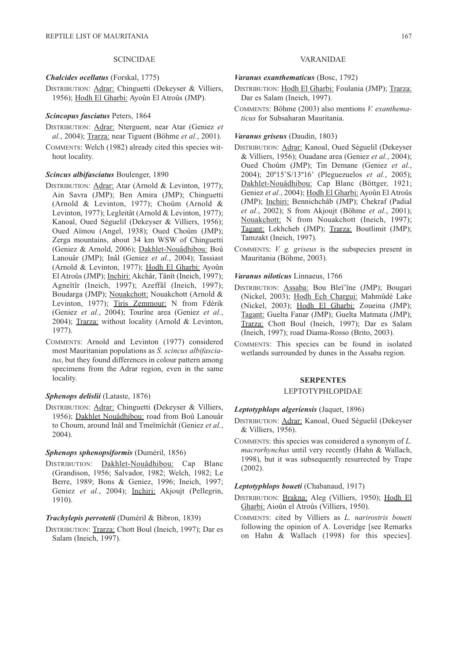# SCINCIDAE

*Chalcides ocellatus* (Forskal, 1775)

DISTRIBUTION: Adrar: Chinguetti (Dekeyser & Villiers, 1956); Hodh El Gharbi: Ayoûn El Atroûs (JMP).

### *Scincopus fasciatus* Peters, 1864

- DISTRIBUTION: Adrar: Nterguent, near Atar (Geniez *et al.*, 2004); Trarza: near Tiguent (Böhme *et al.*, 2001).
- COMMENTS: Welch (1982) already cited this species without locality.

### *Scincus albifasciatus* Boulenger, 1890

- DISTRIBUTION: Adrar: Atar (Arnold & Levinton, 1977); Ain Savra (JMP); Ben Amira (JMP); Chinguetti (Arnold & Levinton, 1977); Choûm (Arnold & Levinton, 1977); Legleitât (Arnold & Levinton, 1977); Kanoal, Oued Séguelil (Dekeyser & Villiers, 1956); Oued Aïmou (Angel, 1938); Oued Choûm (JMP); Zerga mountains, about 34 km WSW of Chinguetti (Geniez & Arnold, 2006); Dakhlet-Nouâdhibou: Boû Lanouâr (JMP); Inâl (Geniez *et al.*, 2004); Tassiast (Arnold & Levinton, 1977); Hodh El Gharbi: Ayoûn El Atroûs (JMP); Inchiri: Akchâr, Tânît (Ineich, 1997); Agneïtîr (Ineich, 1997); Azeffâl (Ineich, 1997); Boudarga (JMP); Nouakchott: Nouakchott (Arnold & Levinton, 1977); Tiris Zemmour: N from Fdérik (Geniez *et al.*, 2004); Tourîne area (Geniez *et al.*, 2004); Trarza: without locality (Arnold & Levinton, 1977).
- COMMENTS: Arnold and Levinton (1977) considered most Mauritanian populations as *S. scincus albifasciatus*, but they found differences in colour pattern among specimens from the Adrar region, even in the same locality.

## *Sphenops delislii* (Lataste, 1876)

DISTRIBUTION: Adrar: Chinguetti **(**Dekeyser & Villiers, 1956); Dakhlet Nouâdhibou: road from Boû Lanouâr to Choum, around Inâl and Tmeïmîchât (Geniez *et al.*, 2004).

# *Sphenops sphenopsiformis* (Duméril, 1856)

DISTRIBUTION: Dakhlet-Nouâdhibou: Cap Blanc (Grandison, 1956; Salvador, 1982; Welch, 1982; Le Berre, 1989; Bons & Geniez, 1996; Ineich, 1997; Geniez et al., 2004); Inchiri: Akjoujt (Pellegrin, 1910).

### *Trachylepis perrotetii* (Duméril & Bibron, 1839)

DISTRIBUTION: Trarza: Chott Boul (Ineich, 1997); Dar es Salam (Ineich, 1997).

### VARANIDAE

### *Varanus exanthematicus* (Bosc, 1792)

- DISTRIBUTION: Hodh El Gharbi: Foulania (JMP); Trarza: Dar es Salam (Ineich, 1997).
- COMMENTS: Böhme (2003) also mentions *V. exanthematicus* for Subsaharan Mauritania.

# *Varanus griseus* (Daudin, 1803)

- DISTRIBUTION: Adrar: Kanoal, Oued Séguelil (Dekeyser & Villiers, 1956); Ouadane area (Geniez *et al.*, 2004); Oued Choûm (JMP); Tin Demane (Geniez *et al.*, 2004); 20º15'S/13º16' (Pleguezuelos *et al.*, 2005); Dakhlet-Nouâdhibou: Cap Blanc (Böttger, 1921; Geniez et al., 2004); Hodh El Gharbi: Ayoûn El Atroûs (JMP); Inchiri: Bennichchâb (JMP); Chekraf (Padial *et al.*, 2002); S from Akjoujt (Böhme *et al.*, 2001); Nouakchott: N from Nouakchott (Ineich, 1997); Tagant: Lekhcheb (JMP); Trarza: Boutlimit (JMP); Tamzakt (Ineich, 1997).
- COMMENTS: *V. g. griseus* is the subspecies present in Mauritania (Böhme, 2003).

*Varanus niloticus* Linnaeus, 1766

- DISTRIBUTION: Assaba: Bou Bleï'îne (JMP); Bougari (Nickel, 2003); Hodh Ech Chargui: Mahmûdé Lake (Nickel, 2003); Hodh El Gharbi: Zoueina (JMP); Tagant: Guelta Fanar (JMP); Guelta Matmata (JMP); Trarza: Chott Boul (Ineich, 1997); Dar es Salam (Ineich, 1997); road Diama-Rosso (Brito, 2003).
- COMMENTS: This species can be found in isolated wetlands surrounded by dunes in the Assaba region.

### **SERPENTES**

# LEPTOTYPHLOPIDAE

# *Leptotyphlops algeriensis* (Jaquet, 1896)

- DISTRIBUTION: Adrar: Kanoal, Oued Séguelil (Dekeyser & Villiers, 1956).
- COMMENTS: this species was considered a synonym of *L. macrorhynchus* until very recently (Hahn & Wallach, 1998), but it was subsequently resurrected by Trape (2002).

### *Leptotyphlops boueti* (Chabanaud, 1917)

- DISTRIBUTION: Brakna: Aleg (Villiers, 1950); Hodh El Gharbi: Aioûn el Atroûs (Villiers, 1950).
- COMMENTS: cited by Villiers as *L. narirostris boueti* following the opinion of A. Loveridge [see Remarks on Hahn & Wallach (1998) for this species].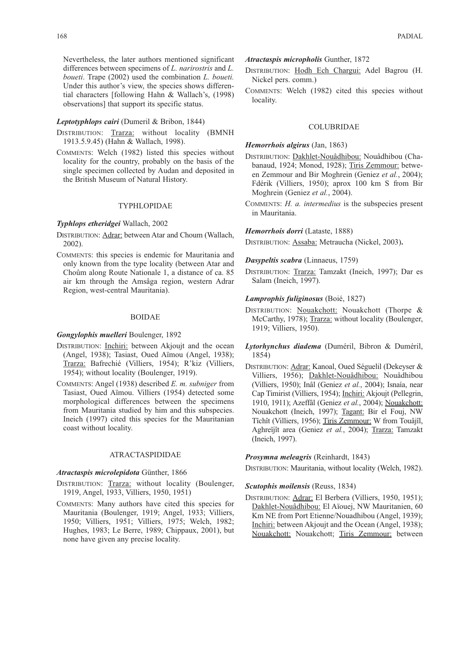Nevertheless, the later authors mentioned significant differences between specimens of *L. narirostris* and *L. boueti*. Trape (2002) used the combination *L. boueti.* Under this author's view, the species shows differential characters [following Hahn & Wallach's, (1998) observations] that support its specific status.

### *Leptotyphlops cairi* (Dumeril & Bribon, 1844)

- DISTRIBUTION: Trarza: without locality (BMNH 1913.5.9.45) (Hahn & Wallach, 1998).
- COMMENTS: Welch (1982) listed this species without locality for the country, probably on the basis of the single specimen collected by Audan and deposited in the British Museum of Natural History.

# TYPHLOPIDAE

### *Typhlops etheridgei* Wallach, 2002

- DISTRIBUTION: Adrar: between Atar and Choum (Wallach, 2002).
- COMMENTS: this species is endemic for Mauritania and only known from the type locality (between Atar and Choûm along Route Nationale 1, a distance of ca. 85 air km through the Amsâga region, western Adrar Region, west-central Mauritania).

### BOIDAE

# *Gongylophis muelleri* Boulenger, 1892

- DISTRIBUTION: Inchiri: between Akjoujt and the ocean (Angel, 1938); Tasiast, Oued Aïmou (Angel, 1938); Trarza: Bafrechié (Villiers, 1954); R'kiz (Villiers, 1954); without locality (Boulenger, 1919).
- COMMENTS: Angel (1938) described *E. m. subniger* from Tasiast, Oued Aïmou. Villiers (1954) detected some morphological differences between the specimens from Mauritania studied by him and this subspecies. Ineich (1997) cited this species for the Mauritanian coast without locality.

# ATRACTASPIDIDAE

### *Atractaspis microlepidota* Günther, 1866

- DISTRIBUTION: Trarza: without locality (Boulenger, 1919, Angel, 1933, Villiers, 1950, 1951)
- COMMENTS: Many authors have cited this species for Mauritania (Boulenger, 1919; Angel, 1933; Villiers, 1950; Villiers, 1951; Villiers, 1975; Welch, 1982; Hughes, 1983; Le Berre, 1989; Chippaux, 2001), but none have given any precise locality.

*Atractaspis micropholis* Gunther, 1872

- DISTRIBUTION: Hodh Ech Chargui: Adel Bagrou (H. Nickel pers. comm.)
- COMMENTS: Welch (1982) cited this species without locality.

### COLUBRIDAE

# *Hemorrhois algirus* (Jan, 1863)

- DISTRIBUTION: Dakhlet-Nouâdhibou: Nouâdhibou (Chabanaud, 1924; Monod, 1928); Tiris Zemmour: between Zemmour and Bir Moghrein (Geniez *et al.*, 2004); Fdérik (Villiers, 1950); aprox 100 km S from Bir Moghrein (Geniez *et al.*, 2004).
- COMMENTS: *H. a. intermedius* is the subspecies present in Mauritania.

# *Hemorrhois dorri* (Lataste, 1888)

DISTRIBUTION: Assaba: Metraucha (Nickel, 2003)**.**

# *Dasypeltis scabra* (Linnaeus, 1759)

DISTRIBUTION: Trarza: Tamzakt (Ineich, 1997); Dar es Salam (Ineich, 1997).

### *Lamprophis fuliginosus* (Boié, 1827)

- DISTRIBUTION: Nouakchott: Nouakchott (Thorpe & McCarthy, 1978); Trarza: without locality (Boulenger, 1919; Villiers, 1950).
- *Lytorhynchus diadema* (Duméril, Bibron & Duméril, 1854)
- DISTRIBUTION: Adrar: Kanoal, Oued Séguelil (Dekeyser & Villiers, 1956); Dakhlet-Nouâdhibou: Nouâdhibou (Villiers, 1950); Inâl (Geniez *et al.*, 2004); Isnaía, near Cap Timirist (Villiers, 1954); Inchiri: Akjoujt (Pellegrin, 1910, 1911); Azeffâl (Geniez *et al.*, 2004); Nouakchott: Nouakchott (Ineich, 1997); Tagant: Bir el Fouj, NW Tîchît (Villiers, 1956); Tiris Zemmour: W from Touâjîl, Aghreïjît area (Geniez *et al.*, 2004); Trarza: Tamzakt (Ineich, 1997).

### *Prosymna meleagris* (Reinhardt, 1843)

DISTRIBUTION: Mauritania, without locality (Welch, 1982).

# *Scutophis moilensis* (Reuss, 1834)

DISTRIBUTION: Adrar: El Berbera (Villiers, 1950, 1951); Dakhlet-Nouâdhibou: El Aïouej, NW Mauritanien, 60 Km NE from Port Etienne/Nouadhibou (Angel, 1939); Inchiri: between Akjoujt and the Ocean (Angel, 1938); Nouakchott: Nouakchott; Tiris Zemmour: between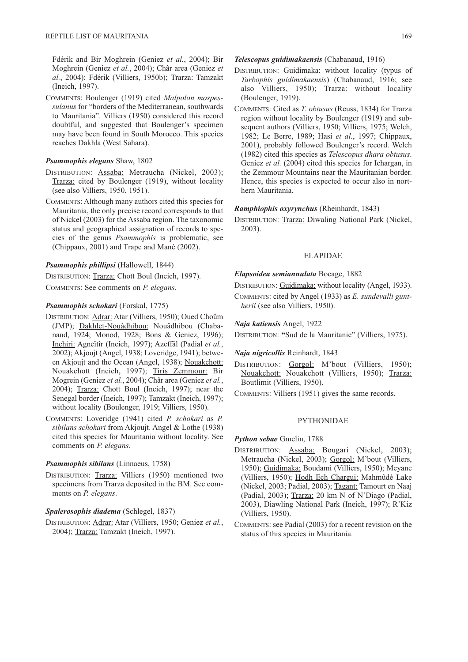Fdérik and Bir Moghrein (Geniez *et al.*, 2004); Bir Moghrein (Geniez *et al.*, 2004); Châr area (Geniez *et al.*, 2004); Fdérik (Villiers, 1950b); Trarza: Tamzakt (Ineich, 1997).

COMMENTS: Boulenger (1919) cited *Malpolon mospessulanus* for "borders of the Mediterranean, southwards to Mauritania". Villiers (1950) considered this record doubtful, and suggested that Boulenger's specimen may have been found in South Morocco. This species reaches Dakhla (West Sahara).

### *Psammophis elegans* Shaw, 1802

- DISTRIBUTION: Assaba: Metraucha (Nickel, 2003); Trarza: cited by Boulenger (1919), without locality (see also Villiers, 1950, 1951).
- COMMENTS: Although many authors cited this species for Mauritania, the only precise record corresponds to that of Nickel (2003) for the Assaba region. The taxonomic status and geographical assignation of records to species of the genus *Psammophis* is problematic, see (Chippaux, 2001) and Trape and Mané (2002).

# *Psammophis phillipsi* (Hallowell, 1844)

DISTRIBUTION: Trarza: Chott Boul (Ineich, 1997).

COMMENTS: See comments on *P. elegans*.

# *Psammophis schokari* (Forskal, 1775)

- DISTRIBUTION: Adrar: Atar (Villiers, 1950); Oued Choûm (JMP); Dakhlet-Nouâdhibou: Nouâdhibou (Chabanaud, 1924; Monod, 1928; Bons & Geniez, 1996); Inchiri: Agneïtîr (Ineich, 1997); Azeffâl (Padial *et al.*, 2002); Akjoujt (Angel, 1938; Loveridge, 1941); between Akjoujt and the Ocean (Angel, 1938); Nouakchott: Nouakchott (Ineich, 1997); Tiris Zemmour: Bir Mogrein (Geniez *et al.*, 2004); Châr area (Geniez *et al.*, 2004); Trarza: Chott Boul (Ineich, 1997); near the Senegal border (Ineich, 1997); Tamzakt (Ineich, 1997); without locality (Boulenger, 1919; Villiers, 1950).
- COMMENTS: Loveridge (1941) cited *P. schokari* as *P. sibilans schokari* from Akjoujt. Angel & Lothe (1938) cited this species for Mauritania without locality. See comments on *P. elegans*.

# *Psammophis sibilans* (Linnaeus, 1758)

DISTRIBUTION: Trarza: Villiers (1950) mentioned two specimens from Trarza deposited in the BM. See comments on *P. elegans*.

# *Spalerosophis diadema* (Schlegel, 1837)

DISTRIBUTION: Adrar: Atar (Villiers, 1950; Geniez *et al.*, 2004); Trarza: Tamzakt (Ineich, 1997).

- DISTRIBUTION: Guidimaka: without locality (typus of *Tarbophis guidimakaensis*) (Chabanaud, 1916; see also Villiers, 1950); Trarza: without locality (Boulenger, 1919).
- COMMENTS: Cited as *T. obtusus* (Reuss, 1834) for Trarza region without locality by Boulenger (1919) and subsequent authors (Villiers, 1950; Villiers, 1975; Welch, 1982; Le Berre, 1989; Hasi *et al.*, 1997; Chippaux, 2001), probably followed Boulenger's record. Welch (1982) cited this species as *Telescopus dhara obtusus*. Geniez *et al.* (2004) cited this species for Ichargan, in the Zemmour Mountains near the Mauritanian border. Hence, this species is expected to occur also in northern Mauritania.

#### *Ramphiophis oxyrynchus* (Rheinhardt, 1843)

DISTRIBUTION: Trarza: Diwaling National Park (Nickel, 2003).

### ELAPIDAE

# *Elapsoidea semiannulata* Bocage, 1882

DISTRIBUTION: Guidimaka: without locality (Angel, 1933).

COMMENTS: cited by Angel (1933) as *E. sundevalli guntherii* (see also Villiers, 1950).

### *Naja katiensis* Angel, 1922

DISTRIBUTION: **"**Sud de la Mauritanie" (Villiers, 1975).

### *Naja nigricollis* Reinhardt, 1843

- DISTRIBUTION: Gorgol: M'bout (Villiers, 1950); Nouakchott: Nouakchott (Villiers, 1950); Trarza: Boutlimit (Villiers, 1950).
- COMMENTS: Villiers (1951) gives the same records.

### PYTHONIDAE

### *Python sebae* Gmelin, 1788

- DISTRIBUTION: Assaba: Bougari (Nickel, 2003); Metraucha (Nickel, 2003); Gorgol: M'bout (Villiers, 1950); Guidimaka: Boudami (Villiers, 1950); Meyane (Villiers, 1950); Hodh Ech Chargui: Mahmûdé Lake (Nickel, 2003; Padial, 2003); Tagant: Tamourt en Naaj (Padial, 2003); Trarza: 20 km N of N'Diago (Padial, 2003), Diawling National Park (Ineich, 1997); R'Kiz (Villiers, 1950).
- COMMENTS: see Padial (2003) for a recent revision on the status of this species in Mauritania.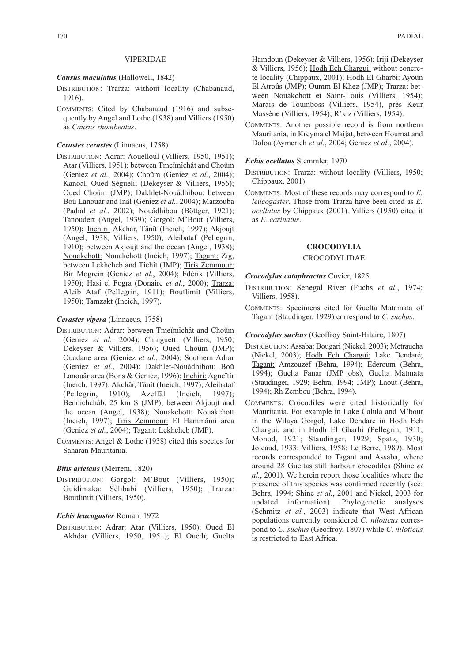### VIPERIDAE

# *Causus maculatus* (Hallowell, 1842)

- DISTRIBUTION: Trarza: without locality (Chabanaud, 1916).
- COMMENTS: Cited by Chabanaud (1916) and subsequently by Angel and Lothe (1938) and Villiers (1950) as *Causus rhombeatus*.

# *Cerastes cerastes* (Linnaeus, 1758)

DISTRIBUTION: Adrar: Aouelloul (Villiers, 1950, 1951); Atar (Villiers, 1951); between Tmeïmîchât and Choûm (Geniez *et al.*, 2004); Choûm (Geniez *et al.*, 2004); Kanoal, Oued Séguelil (Dekeyser & Villiers, 1956); Oued Choûm (JMP); Dakhlet-Nouâdhibou: between Boû Lanouâr and Inâl (Geniez *et al.*, 2004); Marzouba (Padial *et al.*, 2002); Nouâdhibou (Böttger, 1921); Tanoudert (Angel, 1939); Gorgol: M'Bout (Villiers, 1950)**;** Inchiri: Akchâr, Tânît (Ineich, 1997); Akjoujt (Angel, 1938, Villiers, 1950); Aleibataf (Pellegrin, 1910); between Akjoujt and the ocean (Angel, 1938); Nouakchott: Nouakchott (Ineich, 1997); Tagant: Zig, between Lekhcheb and Tîchît (JMP); Tiris Zemmour: Bir Mogrein (Geniez *et al.*, 2004); Fdérik (Villiers, 1950); Hasi el Fogra (Donaire *et al.*, 2000); Trarza: Aleib Ataf (Pellegrin, 1911); Boutlimit (Villiers, 1950); Tamzakt (Ineich, 1997).

#### *Cerastes vipera* (Linnaeus, 1758)

- DISTRIBUTION: Adrar: between Tmeïmîchât and Choûm (Geniez *et al.*, 2004); Chinguetti (Villiers, 1950; Dekeyser & Villiers, 1956); Oued Choûm (JMP); Ouadane area (Geniez *et al.*, 2004); Southern Adrar (Geniez *et al.*, 2004); Dakhlet-Nouâdhibou: Boû Lanouâr area (Bons & Geniez, 1996); Inchiri: Agneïtîr (Ineich, 1997); Akchâr, Tânît (Ineich, 1997); Aleibataf (Pellegrin, 1910); Azeffâl (Ineich, 1997); Bennichchâb, 25 km S (JMP); between Akjoujt and the ocean (Angel, 1938); Nouakchott: Nouakchott (Ineich, 1997); Tiris Zemmour: El Hammâmi area (Geniez *et al.*, 2004); Tagant: Lekhcheb (JMP).
- COMMENTS: Angel & Lothe (1938) cited this species for Saharan Mauritania.

### *Bitis arietans* (Merrem, 1820)

DISTRIBUTION: Gorgol: M'Bout (Villiers, 1950); Guidimaka: Sélibabi (Villiers, 1950); Trarza: Boutlimit (Villiers, 1950).

#### *Echis leucogaster* Roman, 1972

DISTRIBUTION: Adrar: Atar (Villiers, 1950); Oued El Akhdar (Villiers, 1950, 1951); El Ouedï; Guelta Hamdoun (Dekeyser & Villiers, 1956); Iriji (Dekeyser & Villiers, 1956); Hodh Ech Chargui: without concrete locality (Chippaux, 2001); Hodh El Gharbi: Ayoûn El Atroûs (JMP); Oumm El Khez (JMP); Trarza: between Nouakchott et Saint-Louis (Villiers, 1954); Marais de Toumboss (Villiers, 1954), près Keur Massène (Villiers, 1954); R'kiz (Villiers, 1954).

COMMENTS: Another possible record is from northern Mauritania, in Kreyma el Maijat, between Houmat and Doloa (Aymerich *et al.*, 2004; Geniez *et al.*, 2004).

### *Echis ocellatus* Stemmler, 1970

- DISTRIBUTION: Trarza: without locality (Villiers, 1950; Chippaux, 2001).
- COMMENTS: Most of these records may correspond to *E. leucogaster*. Those from Trarza have been cited as *E. ocellatus* by Chippaux (2001). Villiers (1950) cited it as *E. carinatus*.

### **CROCODYLIA**

### **CROCODYLIDAE**

#### *Crocodylus cataphractus* Cuvier, 1825

- DISTRIBUTION: Senegal River (Fuchs *et al.*, 1974; Villiers, 1958).
- COMMENTS: Specimens cited for Guelta Matamata of Tagant (Staudinger, 1929) correspond to *C. suchus*.

# *Crocodylus suchus* (Geoffroy Saint-Hilaire, 1807)

- DISTRIBUTION: Assaba: Bougari (Nickel, 2003); Metraucha (Nickel, 2003); Hodh Ech Chargui: Lake Dendaré; Tagant: Amzouzef (Behra, 1994); Ederoum (Behra, 1994); Guelta Fanar (JMP obs), Guelta Matmata (Staudinger, 1929; Behra, 1994; JMP); Laout (Behra, 1994); Rh Zembou (Behra, 1994).
- COMMENTS: Crocodiles were cited historically for Mauritania. For example in Lake Calula and M'bout in the Wilaya Gorgol, Lake Dendaré in Hodh Ech Chargui, and in Hodh El Gharbi (Pellegrin, 1911; Monod, 1921; Staudinger, 1929; Spatz, 1930; Joleaud, 1933; Villiers, 1958; Le Berre, 1989). Most records corresponded to Tagant and Assaba, where around 28 Gueltas still harbour crocodiles (Shine *et al.*, 2001). We herein report those localities where the presence of this species was confirmed recently (see: Behra, 1994; Shine *et al.*, 2001 and Nickel, 2003 for updated information). Phylogenetic analyses (Schmitz *et al.*, 2003) indicate that West African populations currently considered *C. niloticus* correspond to *C. suchus* (Geoffroy, 1807) while *C. niloticus* is restricted to East Africa.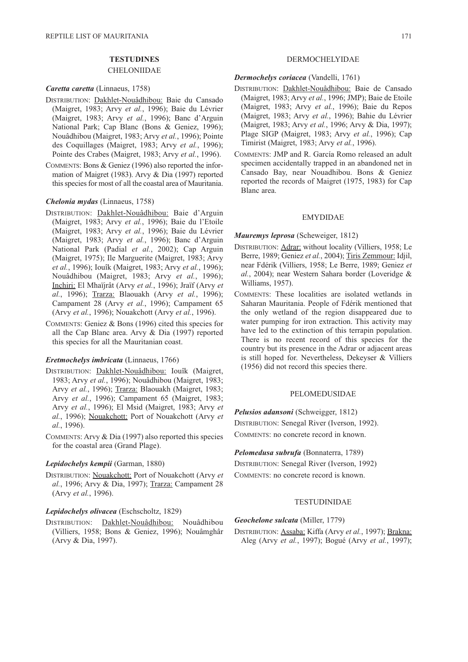# **TESTUDINES**

# CHELONIIDAE

# *Caretta caretta* (Linnaeus, 1758)

- DISTRIBUTION: Dakhlet-Nouâdhibou: Baie du Cansado (Maigret, 1983; Arvy *et al.*, 1996); Baie du Lévrier (Maigret, 1983; Arvy *et al.*, 1996); Banc d'Arguin National Park; Cap Blanc (Bons & Geniez, 1996); Nouâdhibou (Maigret, 1983; Arvy *et al.*, 1996); Pointe des Coquillages (Maigret, 1983; Arvy *et al.*, 1996); Pointe des Crabes (Maigret, 1983; Arvy *et al.*, 1996).
- COMMENTS: Bons & Geniez (1996) also reported the information of Maigret (1983). Arvy & Dia (1997) reported this species for most of all the coastal area of Mauritania.

### *Chelonia mydas* (Linnaeus, 1758)

- DISTRIBUTION: Dakhlet-Nouâdhibou: Baie d'Arguin (Maigret, 1983; Arvy *et al.*, 1996); Baie du l'Etoile (Maigret, 1983; Arvy *et al.*, 1996); Baie du Lévrier (Maigret, 1983; Arvy *et al.*, 1996); Banc d'Arguin National Park (Padial *et al.*, 2002); Cap Arguin (Maigret, 1975); Ile Marguerite (Maigret, 1983; Arvy *et al.*, 1996); Iouîk (Maigret, 1983; Arvy *et al.*, 1996); Nouâdhibou (Maigret, 1983; Arvy *et al.*, 1996); Inchiri: El Mhaïjrât (Arvy *et al.*, 1996); Jraïf (Arvy *et al.*, 1996); Trarza: Blaouakh (Arvy *et al.*, 1996); Campament 28 (Arvy *et al.*, 1996); Campament 65 (Arvy *et al.*, 1996); Nouakchott (Arvy *et al.*, 1996).
- COMMENTS: Geniez & Bons (1996) cited this species for all the Cap Blanc area. Arvy & Dia (1997) reported this species for all the Mauritanian coast.

# *Eretmochelys imbricata* (Linnaeus, 1766)

- DISTRIBUTION: Dakhlet-Nouâdhibou: Iouîk (Maigret, 1983; Arvy *et al.*, 1996); Nouâdhibou (Maigret, 1983; Arvy et al., 1996); Trarza: Blaouakh (Maigret, 1983; Arvy *et al.*, 1996); Campament 65 (Maigret, 1983; Arvy *et al.*, 1996); El Msid (Maigret, 1983; Arvy *et al.*, 1996); Nouakchott: Port of Nouakchott (Arvy *et al.*, 1996).
- COMMENTS: Arvy & Dia (1997) also reported this species for the coastal area (Grand Plage).

#### *Lepidochelys kempii* (Garman, 1880)

DISTRIBUTION: Nouakchott: Port of Nouakchott (Arvy *et al.*, 1996; Arvy & Dia, 1997); Trarza: Campament 28 (Arvy *et al.*, 1996).

### *Lepidochelys olivacea* (Eschscholtz, 1829)

DISTRIBUTION: Dakhlet-Nouâdhibou: Nouâdhibou (Villiers, 1958; Bons & Geniez, 1996); Nouâmghâr (Arvy & Dia, 1997).

# DERMOCHELYIDAE

# *Dermochelys coriacea* (Vandelli, 1761)

- DISTRIBUTION: Dakhlet-Nouâdhibou: Baie de Cansado (Maigret, 1983; Arvy *et al.*, 1996; JMP); Baie de Etoile (Maigret, 1983; Arvy *et al.*, 1996); Baie du Repos (Maigret, 1983; Arvy *et al.*, 1996); Bahie du Lévrier (Maigret, 1983; Arvy *et al.*, 1996; Arvy & Dia, 1997); Plage SIGP (Maigret, 1983; Arvy *et al.*, 1996); Cap Timirist (Maigret, 1983; Arvy *et al.*, 1996).
- COMMENTS: JMP and R. García Romo released an adult specimen accidentally trapped in an abandoned net in Cansado Bay, near Nouadhibou. Bons & Geniez reported the records of Maigret (1975, 1983) for Cap Blanc area.

### EMYDIDAE

### *Mauremys leprosa* (Scheweiger, 1812)

- DISTRIBUTION: Adrar: without locality (Villiers, 1958; Le Berre, 1989; Geniez *et al.*, 2004); Tiris Zemmour: Idjil, near Fdérik (Villiers, 1958; Le Berre, 1989; Geniez *et al.*, 2004); near Western Sahara border (Loveridge & Williams, 1957).
- COMMENTS: These localities are isolated wetlands in Saharan Mauritania. People of Fdérik mentioned that the only wetland of the region disappeared due to water pumping for iron extraction. This activity may have led to the extinction of this terrapin population. There is no recent record of this species for the country but its presence in the Adrar or adjacent areas is still hoped for. Nevertheless, Dekeyser & Villiers (1956) did not record this species there.

# PELOMEDUSIDAE.

*Pelusios adansoni* (Schweigger, 1812) DISTRIBUTION: Senegal River (Iverson, 1992). COMMENTS: no concrete record in known.

*Pelomedusa subrufa* (Bonnaterra, 1789)

DISTRIBUTION: Senegal River (Iverson, 1992) COMMENTS: no concrete record is known.

# TESTUDINIDAE

*Geochelone sulcata* (Miller, 1779) DISTRIBUTION: Assaba: Kiffa (Arvy *et al.*, 1997); Brakna: Aleg (Arvy *et al.*, 1997); Bogué (Arvy *et al.*, 1997);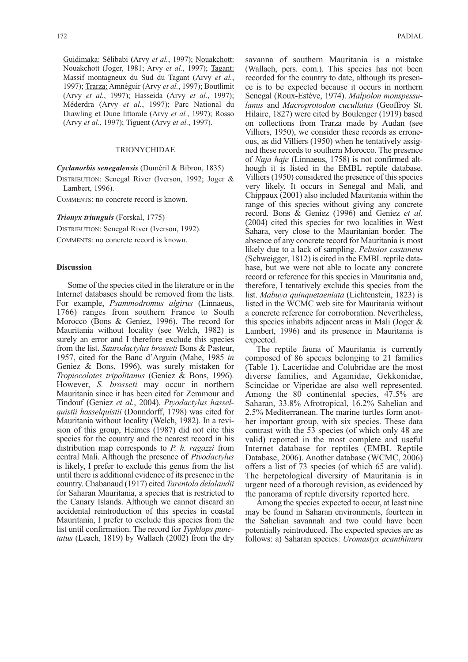Guidimaka: Sélibabi **(**Arvy *et al.*, 1997); Nouakchott: Nouakchott (Joger, 1981; Arvy *et al.*, 1997); Tagant: Massif montagneux du Sud du Tagant (Arvy *et al.*, 1997); Trarza: Amnéguir (Arvy *et al.*, 1997); Boutlimit (Arvy *et al.*, 1997); Hasseida (Arvy *et al.*, 1997); Méderdra (Arvy *et al.*, 1997); Parc National du Diawling et Dune littorale (Arvy *et al.*, 1997); Rosso (Arvy *et al.*, 1997); Tiguent (Arvy *et al.*, 1997).

### TRIONYCHIDAE

*Cyclanorbis senegalensis* (Duméril & Bibron, 1835)

DISTRIBUTION: Senegal River (Iverson, 1992; Joger & Lambert, 1996).

COMMENTS: no concrete record is known.

*Trionyx triunguis* (Forskal, 1775)

DISTRIBUTION: Senegal River (Iverson, 1992).

COMMENTS: no concrete record is known.

### **Discussion**

Some of the species cited in the literature or in the Internet databases should be removed from the lists. For example, *Psammodromus algirus* (Linnaeus, 1766) ranges from southern France to South Morocco (Bons & Geniez, 1996). The record for Mauritania without locality (see Welch, 1982) is surely an error and I therefore exclude this species from the list. *Saurodactylus brosseti* Bons & Pasteur, 1957, cited for the Banc d'Arguin (Mahe, 1985 *in* Geniez & Bons, 1996), was surely mistaken for *Tropiocolotes tripolitanus* (Geniez & Bons, 1996). However, *S. brosseti* may occur in northern Mauritania since it has been cited for Zemmour and Tindouf (Geniez *et al.*, 2004). *Ptyodactylus hasselquistii hasselquistii* (Donndorff, 1798) was cited for Mauritania without locality (Welch, 1982). In a revision of this group, Heimes (1987) did not cite this species for the country and the nearest record in his distribution map corresponds to *P. h. ragazzi* from central Mali. Although the presence of *Ptyodactylus* is likely, I prefer to exclude this genus from the list until there is additional evidence of its presence in the country. Chabanaud (1917) cited *Tarentola delalandii* for Saharan Mauritania, a species that is restricted to the Canary Islands. Although we cannot discard an accidental reintroduction of this species in coastal Mauritania, I prefer to exclude this species from the list until confirmation. The record for *Typhlops punctatus* (Leach, 1819) by Wallach (2002) from the dry

savanna of southern Mauritania is a mistake (Wallach, pers. com.). This species has not been recorded for the country to date, although its presence is to be expected because it occurs in northern Senegal (Roux-Estève, 1974). *Malpolon monspessulanus* and *Macroprotodon cucullatus* (Geoffroy St. Hilaire, 1827) were cited by Boulenger (1919) based on collections from Trarza made by Audan (see Villiers, 1950), we consider these records as erroneous, as did Villiers (1950) when he tentatively assigned these records to southern Morocco. The presence of *Naja haje* (Linnaeus, 1758) is not confirmed although it is listed in the EMBL reptile database. Villiers (1950) considered the presence of this species very likely. It occurs in Senegal and Mali, and Chippaux (2001) also included Mauritania within the range of this species without giving any concrete record. Bons & Geniez (1996) and Geniez *et al.* (2004) cited this species for two localities in West Sahara, very close to the Mauritanian border. The absence of any concrete record for Mauritania is most likely due to a lack of sampling. *Pelusios castaneus* (Schweigger, 1812) is cited in the EMBL reptile database, but we were not able to locate any concrete record or reference for this species in Mauritania and, therefore, I tentatively exclude this species from the list. *Mabuya quinquetaeniata* (Lichtenstein, 1823) is listed in the WCMC web site for Mauritania without a concrete reference for corroboration. Nevertheless, this species inhabits adjacent areas in Mali (Joger & Lambert, 1996) and its presence in Mauritania is expected.

The reptile fauna of Mauritania is currently composed of 86 species belonging to 21 families (Table 1). Lacertidae and Colubridae are the most diverse families, and Agamidae, Gekkonidae, Scincidae or Viperidae are also well represented. Among the 80 continental species, 47.5% are Saharan, 33.8% Afrotropical, 16.2% Sahelian and 2.5% Mediterranean. The marine turtles form another important group, with six species. These data contrast with the 53 species (of which only 48 are valid) reported in the most complete and useful Internet database for reptiles (EMBL Reptile Database, 2006). Another database (WCMC, 2006) offers a list of 73 species (of which 65 are valid). The herpetological diversity of Mauritania is in urgent need of a thorough revision, as evidenced by the panorama of reptile diversity reported here.

Among the species expected to occur, at least nine may be found in Saharan environments, fourteen in the Sahelian savannah and two could have been potentially reintroduced. The expected species are as follows: a) Saharan species: *Uromastyx acanthinura*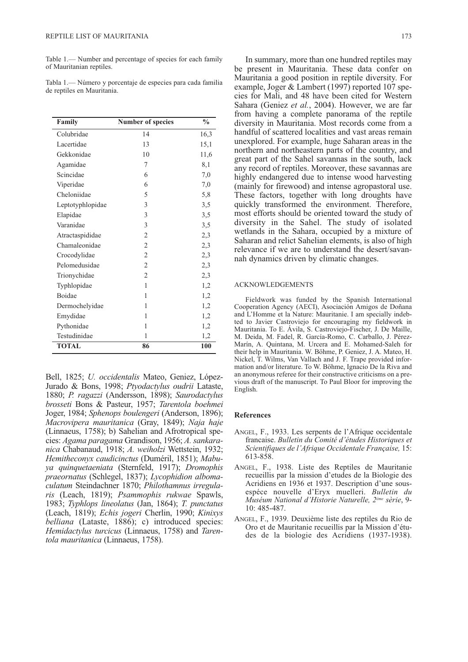Table 1.— Number and percentage of species for each family of Mauritanian reptiles.

Tabla 1.— Número y porcentaje de especies para cada familia de reptiles en Mauritania.

| Family           | <b>Number of species</b> | $\frac{0}{0}$ |
|------------------|--------------------------|---------------|
| Colubridae       | 14                       | 16,3          |
| Lacertidae       | 13                       | 15,1          |
| Gekkonidae       | 10                       | 11,6          |
| Agamidae         | 7                        | 8,1           |
| Scincidae        | 6                        | 7,0           |
| Viperidae        | 6                        | 7,0           |
| Cheloniidae      | 5                        | 5,8           |
| Leptotyphlopidae | 3                        | 3,5           |
| Elapidae         | 3                        | 3,5           |
| Varanidae        | 3                        | 3,5           |
| Atractaspididae  | $\overline{2}$           | 2,3           |
| Chamaleonidae    | $\overline{2}$           | 2,3           |
| Crocodylidae     | $\overline{2}$           | 2,3           |
| Pelomedusidae    | $\overline{2}$           | 2,3           |
| Trionychidae     | $\overline{2}$           | 2,3           |
| Typhlopidae      | 1                        | 1,2           |
| <b>Boidae</b>    | 1                        | 1,2           |
| Dermochelyidae   | 1                        | 1,2           |
| Emydidae         | 1                        | 1,2           |
| Pythonidae       | 1                        | 1,2           |
| Testudinidae     | 1                        | 1,2           |
| <b>TOTAL</b>     | 86                       | 100           |

Bell, 1825; *U. occidentalis* Mateo, Geniez, López-Jurado & Bons, 1998; *Ptyodactylus oudrii* Lataste, 1880; *P. ragazzi* (Andersson, 1898); *Saurodactylus brosseti* Bons & Pasteur, 1957; *Tarentola boehmei* Joger, 1984; *Sphenops boulengeri* (Anderson, 1896); *Macrovipera mauritanica* (Gray, 1849); *Naja haje* (Linnaeus, 1758); b) Sahelian and Afrotropical species: *Agama paragama* Grandison, 1956; *A. sankaranica* Chabanaud, 1918; *A. weiholzi* Wettstein, 1932; *Hemitheconyx caudicinctus* (Duméril, 1851); *Mabuya quinquetaeniata* (Sternfeld, 1917); *Dromophis praeornatus* (Schlegel, 1837); *Lycophidion albomaculatum* Steindachner 1870; *Philothamnus irregularis* (Leach, 1819); *Psammophis rukwae* Spawls, 1983; *Typhlops lineolatus* (Jan, 1864); *T. punctatus* (Leach, 1819); *Echis jogeri* Cherlin, 1990; *Kinixys belliana* (Lataste, 1886); c) introduced species: *Hemidactylus turcicus* (Linnaeus, 1758) and *Tarentola mauritanica* (Linnaeus, 1758).

In summary, more than one hundred reptiles may be present in Mauritania. These data confer on Mauritania a good position in reptile diversity. For example, Joger & Lambert (1997) reported 107 species for Mali, and 48 have been cited for Western Sahara (Geniez *et al.*, 2004). However, we are far from having a complete panorama of the reptile diversity in Mauritania. Most records come from a handful of scattered localities and vast areas remain unexplored. For example, huge Saharan areas in the northern and northeastern parts of the country, and great part of the Sahel savannas in the south, lack any record of reptiles. Moreover, these savannas are highly endangered due to intense wood harvesting (mainly for firewood) and intense agropastoral use. These factors, together with long droughts have quickly transformed the environment. Therefore, most efforts should be oriented toward the study of diversity in the Sahel. The study of isolated wetlands in the Sahara, occupied by a mixture of Saharan and relict Sahelian elements, is also of high relevance if we are to understand the desert/savannah dynamics driven by climatic changes.

#### ACKNOWLEDGEMENTS

Fieldwork was funded by the Spanish International Cooperation Agency (AECI), Asociación Amigos de Doñana and L'Homme et la Nature: Mauritanie. I am specially indebted to Javier Castroviejo for encouraging my fieldwork in Mauritania. To E. Ávila, S. Castroviejo-Fischer, J. De Maille, M. Deida, M. Fadel, R. García-Romo, C. Carballo, J. Pérez-Marín, A. Quintana, M. Urcera and E. Mohamed-Saleh for their help in Mauritania. W. Böhme, P. Geniez, J. A. Mateo, H. Nickel, T. Wilms, Van Vallach and J. F. Trape provided information and/or literature. To W. Böhme, Ignacio De la Riva and an anonymous referee for their constructive criticisms on a previous draft of the manuscript. To Paul Bloor for improving the English.

#### **References**

- ANGEL, F., 1933. Les serpents de l'Afrique occidentale francaise. *Bulletin du Comité d'études Historiques et Scientifiques de l'Afrique Occidentale Française,* 15: 613-858.
- ANGEL, F., 1938. Liste des Reptiles de Mauritanie recueillis par la mission d'etudes de la Biologie des Acridiens en 1936 et 1937. Description d'une sousespéce nouvelle d'Eryx muelleri. *Bulletin du Muséum National d'Historie Naturelle, 2éme sèrie*, 9- 10: 485-487.
- ANGEL, F., 1939. Deuxième liste des reptiles du Rio de Oro et de Mauritanie recueillis par la Mission d'études de la biologie des Acridiens (1937-1938).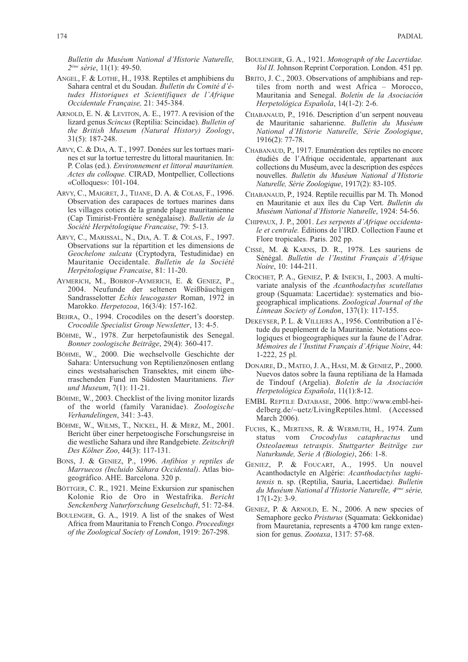*Bulletin du Muséum National d'Historie Naturelle, 2éme sèrie*, 11(1): 49-50.

- ANGEL, F. & LOTHE, H., 1938. Reptiles et amphibiens du Sahara central et du Soudan. *Bulletin du Comité d'études Historiques et Scientifiques de l'Afrique Occidentale Française,* 21: 345-384.
- ARNOLD, E. N. & LEVITON, A. E., 1977. A revision of the lizard genus *Scincus* (Reptilia: Scincidae). *Bulletin of the British Museum (Natural History) Zoology*, 31(5): 187-248.
- ARVY, C. & DIA, A. T., 1997. Donées sur les tortues marines et sur la tortue terrestre du littoral mauritanien. In: P. Colas (ed.). *Environnement et littoral mauritanien. Actes du colloque*. CIRAD, Montpellier, Collections «Colloques»: 101-104.
- ARVY, C., MAIGRET, J., TIJANE, D. A. & COLAS, F., 1996. Observation des carapaces de tortues marines dans les villages cotiers de la grande plage mauritanienne (Cap Timirist-Frontière senégalaise). *Bulletin de la Société Herpétologique Francaise*, 79: 5-13.
- ARVY, C., MARISSAL, N., DIA, A. T. & COLAS, F., 1997. Observations sur la répartition et les dimensions de *Geochelone sulcata* (Cryptodyra, Testudinidae) en Mauritanie Occidentale. *Bulletin de la Société Herpétologique Francaise*, 81: 11-20.
- AYMERICH, M., BOBROF-AYMERICH, E. & GENIEZ, P., 2004. Neufunde der seltenen Weißbäuchigen Sandrasselotter *Echis leucogaster* Roman, 1972 in Marokko. *Herpetozoa*, 16(3/4): 157-162.
- BEHRA, O., 1994. Crocodiles on the desert's doorstep. *Crocodile Specialist Group Newsletter*, 13: 4-5.
- BÖHME, W., 1978. Zur herpetofaunistik des Senegal. *Bonner zoologische Beiträge*, 29(4): 360-417.
- BÖHME, W., 2000. Die wechselvolle Geschichte der Sahara: Untersuchung von Reptilienzönosen entlang eines westsaharischen Transektes, mit einem überraschenden Fund im Südosten Mauritaniens. *Tier und Museum*, 7(1): 11-21.
- BÖHME, W., 2003. Checklist of the living monitor lizards of the world (family Varanidae). *Zoologische Verhandelingen*, 341: 3-43.
- BÖHME, W., WILMS, T., NICKEL, H. & MERZ, M., 2001. Bericht über einer herpetoogische Forschungsreise in die westliche Sahara und ihre Randgebiete. *Zeitschrift Des Kölner Zoo*, 44(3): 117-131.
- BONS, J. & GENIEZ, P., 1996. *Anfibios y reptiles de Marruecos (Incluido Sáhara Occidental)*. Atlas biogeográfico. AHE. Barcelona. 320 p.
- BÖTTGER, C. R., 1921. Meine Exkursion zur spanischen Kolonie Rio de Oro in Westafrika. *Bericht Senckenberg Naturforschung Geselschaft*, 51: 72-84.
- BOULENGER, G. A., 1919. A list of the snakes of West Africa from Mauritania to French Congo. *Proceedings of the Zoological Society of London*, 1919: 267-298.
- BOULENGER, G. A., 1921. *Monograph of the Lacertidae. Vol II.* Johnson Reprint Corporation. London. 451 pp.
- BRITO, J. C., 2003. Observations of amphibians and reptiles from north and west Africa – Morocco, Mauritania and Senegal. *Boletín de la Asociación Herpetológica Española*, 14(1-2): 2-6.
- CHABANAUD, P., 1916. Description d'un serpent nouveau de Mauritanie saharienne. *Bulletin du Muséum National d'Historie Naturelle, Série Zoologique*, 1916(2): 77-78.
- CHABANAUD, P., 1917. Enumération des reptiles no encore étudiés de l'Afrique occidentale, appartenant aux collections du Muséum, avec la description des espéces nouvelles. *Bulletin du Muséum National d'Historie Naturelle, Série Zoologique*, 1917(2): 83-105.
- CHABANAUD, P., 1924. Reptile recuillis par M. Th. Monod en Mauritanie et aux îles du Cap Vert. *Bulletin du Muséum National d'Historie Naturelle*, 1924: 54-56.
- CHIPPAUX, J. P., 2001. *Les serpents d'Afrique occidentale et centrale.* Éditions de l'IRD. Collection Faune et Flore tropicales. Paris. 202 pp.
- CISSÉ, M. & KARNS, D. R., 1978. Les sauriens de Sénégal. *Bulletin de l'Institut Français d'Afrique Noire*, 10: 144-211.
- CROCHET, P. A., GENIEZ, P. & INEICH, I., 2003. A multivariate analysis of the *Acanthodactylus scutellatus* group (Squamata: Lacertidae): systematics and biogeographical implications. *Zoological Journal of the Linnean Society of London*, 137(1): 117-155.
- DEKEYSER, P. L. & VILLIERS A., 1956. Contribution a l'étude du peuplement de la Mauritanie. Notations ecologiques et biogeographiques sur la faune de l'Adrar. *Mémoires de l'Institut Français d'Afrique Noire*, 44: 1-222, 25 pl.
- DONAIRE, D., MATEO, J. A., HASI, M. & GENIEZ, P., 2000. Nuevos datos sobre la fauna reptiliana de la Hamada de Tindouf (Argelia). *Boletín de la Asociación Herpetológica Española*, 11(1):8-12.
- EMBL REPTILE DATABASE, 2006. http://www.embl-heidelberg.de/~uetz/LivingReptiles.html. (Accessed March 2006).
- FUCHS, K., MERTENS, R. & WERMUTH, H., 1974. Zum status vom *Crocodylus cataphractus* und *Osteolaemus tetraspis*. *Stuttgarter Beiträge zur Naturkunde, Serie A (Biologie)*, 266: 1-8.
- GENIEZ, P. & FOUCART, A., 1995. Un nouvel Acanthodactyle en Algérie: *Acanthodactylus taghitensis* n. sp. (Reptilia, Sauria, Lacertidae*). Bulletin du Muséum National d'Historie Naturelle, 4éme série,*  $17(1-2)$ : 3-9.
- GENIEZ, P. & ARNOLD, E. N., 2006. A new species of Semaphore gecko *Pristurus* (Squamata: Gekkonidae) from Mauretania, represents a 4700 km range extension for genus. *Zootaxa*, 1317: 57-68.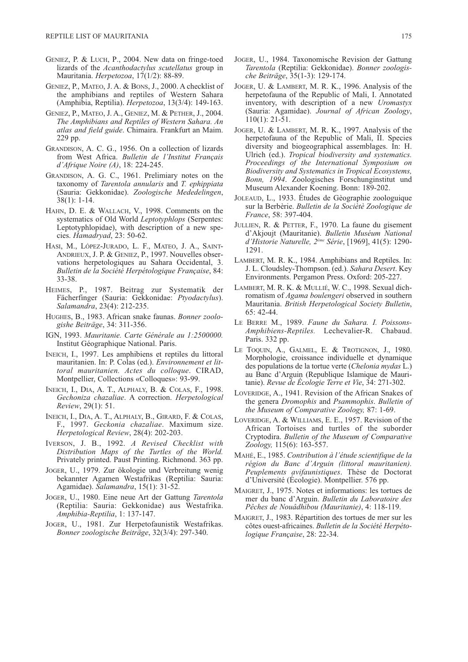- GENIEZ, P. & LUCH, P., 2004. New data on fringe-toed lizards of the *Acanthodactylus scutellatus* group in Mauritania. *Herpetozoa*, 17(1/2): 88-89.
- GENIEZ, P., MATEO, J. A. & BONS, J., 2000. A checklist of the amphibians and reptiles of Western Sahara (Amphibia, Reptilia). *Herpetozoa*, 13(3/4): 149-163.
- GENIEZ, P., MATEO, J. A., GENIEZ, M. & PETHER, J., 2004. *The Amphibians and Reptiles of Western Sahara. An atlas and field guide*. Chimaira. Frankfurt an Maim. 229 pp.
- GRANDISON, A. C. G., 1956. On a collection of lizards from West Africa. *Bulletin de l'Institut Français d'Afrique Noire (A)*, 18: 224-245.
- GRANDISON, A. G. C., 1961. Prelimiary notes on the taxonomy of *Tarentola annularis* and *T. ephippiata* (Sauria: Gekkonidae). *Zoologische Mededelingen*, 38(1): 1-14.
- HAHN, D. E. & WALLACH, V., 1998. Comments on the systematics of Old World *Leptotyphlops* (Serpentes: Leptotyphlopidae), with description of a new species. *Hamadryad*, 23: 50-62.
- HASI, M., LÓPEZ-JURADO, L. F., MATEO, J. A., SAINT-ANDRIEUX, J. P. & GENIEZ, P., 1997. Nouvelles observations herpetologiques au Sahara Occidental, 3. *Bulletin de la Société Herpétologique Française*, 84: 33-38.
- HEIMES, P., 1987. Beitrag zur Systematik der Fächerfinger (Sauria: Gekkonidae: *Ptyodactylus*). *Salamandra*, 23(4): 212-235.
- HUGHES, B., 1983. African snake faunas. *Bonner zoologishe Beiträge*, 34: 311-356.
- IGN, 1993. *Mauritanie. Carte Générale au 1:2500000.* Institut Géographique National. Paris.
- INEICH, I., 1997. Les amphibiens et reptiles du littoral mauritanien. In: P. Colas (ed.). *Environnement et littoral mauritanien. Actes du colloque*. CIRAD, Montpellier, Collections «Colloques»: 93-99.
- INEICH, I., DIA, A. T., ALPHALY, B. & COLAS, F., 1998. *Gechoniza chazaliae*. A correction. *Herpetological Review*, 29(1): 51.
- INEICH, I., DIA, A. T., ALPHALY, B., GIRARD, F. & COLAS, F., 1997. *Geckonia chazaliae*. Maximum size. *Herpetological Review*, 28(4): 202-203.
- IVERSON, J. B., 1992. *A Revised Checklist with Distribution Maps of the Turtles of the World.* Privately printed. Paust Printing. Richmond. 363 pp.
- JOGER, U., 1979. Zur ökologie und Verbreitung wenig bekannter Agamen Westafrikas (Reptilia: Sauria: Agamidae). *Salamandra*, 15(1): 31-52.
- JOGER, U., 1980. Eine neue Art der Gattung *Tarentola* (Reptilia: Sauria: Gekkonidae) aus Westafrika. *Amphibia-Reptilia*, 1: 137-147.
- JOGER, U., 1981. Zur Herpetofaunistik Westafrikas. *Bonner zoologische Beiträge*, 32(3/4): 297-340.
- JOGER, U., 1984. Taxonomische Revision der Gattung *Tarentola* (Reptilia: Gekkonidae). *Bonner zoologische Beiträge*, 35(1-3): 129-174.
- JOGER, U. & LAMBERT, M. R. K., 1996. Analysis of the herpetofauna of the Republic of Mali, I. Annotated inventory, with description of a new *Uromastyx* (Sauria: Agamidae). *Journal of African Zoology*, 110(1): 21-51.
- JOGER, U. & LAMBERT, M. R. K., 1997. Analysis of the herpetofauna of the Republic of Mali, II. Species diversity and biogeographical assemblages. In: H. Ulrich (ed.). *Tropical biodiversity and systematics. Proceedings of the International Symposium on Biodiversity and Systematics in Tropical Ecosystems, Bonn, 1994*. Zoologisches Forschunginstitut und Museum Alexander Koening. Bonn: 189-202.
- JOLEAUD, L., 1933. Études de Gèographie zoologuique sur la Berbèrie. *Bulletin de la Sociètè Zoologique de France*, 58: 397-404.
- JULLIEN, R. & PETTER, F., 1970. La faune du gisement d'Akjoujt (Mauritanie). *Bulletin Muséum National d'Historie Naturelle, 2ème Série*, [1969], 41(5): 1290- 1291.
- LAMBERT, M. R. K., 1984. Amphibians and Reptiles. In: J. L. Cloudsley-Thompson. (ed.). *Sahara Desert*. Key Environments. Pergamon Press. Oxford: 205-227.
- LAMBERT, M. R. K. & MULLIÉ, W. C., 1998. Sexual dichromatism of *Agama boulengeri* observed in southern Mauritania. *British Herpetological Society Bulletin*, 65: 42-44.
- LE BERRE M., 1989. *Faune du Sahara. I. Poissons-Amphibiens-Reptiles.* Lechevalier-R. Chabaud. Paris. 332 pp.
- LE TOQUIN, A., GALMEL, E. & TROTIGNON, J., 1980. Morphologie, croissance individuelle et dynamique des populations de la tortue verte (*Chelonia mydas* L.) au Banc d'Arguin (Republique Islamique de Mauritanie). *Revue de Écologie Terre et Vie*, 34: 271-302.
- LOVERIDGE, A., 1941. Revision of the African Snakes of the genera *Dromophis* and *Psammophis*. *Bulletin of the Museum of Comparative Zoology,* 87: 1-69.
- LOVERIDGE, A. & WILLIAMS, E. E., 1957. Revision of the African Tortoises and turtles of the suborder Cryptodira. *Bulletin of the Museum of Comparative Zoology,* 115(6): 163-557.
- MAHÉ, E., 1985. *Contribution à l'étude scientifique de la région du Banc d'Arguin (littoral mauritanien). Peuplements avifaunistiques*. Thèse de Doctorat d'Université (Écologie). Montpellier. 576 pp.
- MAIGRET, J., 1975. Notes et informations: les tortues de mer du banc d'Arguin. *Bulletin du Laboratoire des Pêches de Nouâdhibou (Mauritanie)*, 4: 118-119.
- MAIGRET, J., 1983. Répartition des tortues de mer sur les côtes ouest-africaines. *Bulletin de la Société Herpétologique Française*, 28: 22-34.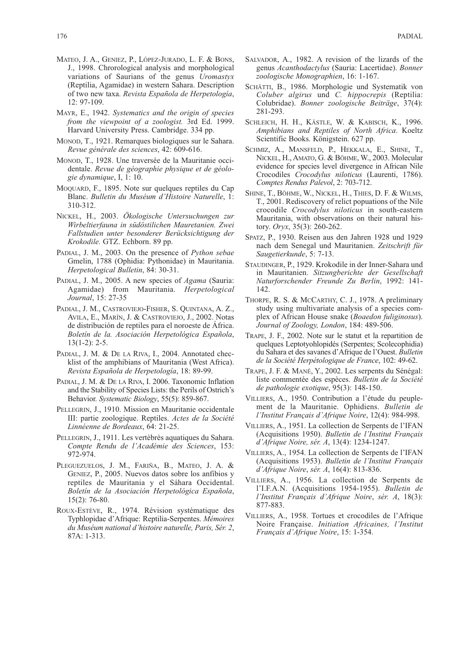- MATEO, J. A., GENIEZ, P., LÓPEZ-JURADO, L. F. & BONS, J., 1998. Chrorological analysis and morphological variations of Saurians of the genus *Uromastyx* (Reptilia, Agamidae) in western Sahara. Description of two new taxa. *Revista Española de Herpetología*, 12: 97-109.
- MAYR, E., 1942. *Systematics and the origin of species from the viewpoint of a zoologist.* 3rd Ed. 1999. Harvard University Press. Cambridge. 334 pp.
- MONOD, T., 1921. Remarques biologiques sur le Sahara. *Revue générale des sciences*, 42: 609-616.
- MONOD, T., 1928. Une traversée de la Mauritanie occidentale. *Revue de géographie physique et de géologie dynamique*, I, 1: 10.
- MOQUARD, F., 1895. Note sur quelques reptiles du Cap Blanc. *Bulletin du Muséum d'Histoire Naturelle*, 1: 310-312.
- NICKEL, H., 2003. *Ökologische Untersuchungen zur Wirbeltierfauna in südöstilichen Mauretanien. Zwei Fallstudien unter besonderer Berücksichtigung der Krokodile.* GTZ. Echborn. 89 pp.
- PADIAL, J. M., 2003. On the presence of *Python sebae* Gmelin, 1788 (Ophidia: Pythonidae) in Mauritania. *Herpetological Bulletin*, 84: 30-31.
- PADIAL, J. M., 2005. A new species of *Agama* (Sauria: Agamidae) from Mauritania. *Herpetological Journal*, 15: 27-35
- PADIAL, J. M., CASTROVIEJO-FISHER, S. QUINTANA, A. Z., AVILA, E., MARÍN, J. & CASTROVIEJO, J., 2002. Notas de distribución de reptiles para el noroeste de África. *Boletín de la. Asociación Herpetológica Española*,  $13(1-2): 2-5.$
- PADIAL, J. M. & DE LA RIVA, I., 2004. Annotated checklist of the amphibians of Mauritania (West Africa). *Revista Española de Herpetología*, 18: 89-99.
- PADIAL, J. M. & DE LA RIVA, I. 2006. Taxonomic Inflation and the Stability of Species Lists: the Perils of Ostrich's Behavior. *Systematic Biology*, 55(5): 859-867.
- PELLEGRIN, J., 1910. Mission en Mauritanie occidentale III: partie zoologique. Reptiles. *Actes de la Société Linnéenne de Bordeaux*, 64: 21-25.
- PELLEGRIN, J., 1911. Les vertèbrès aquatiques du Sahara. *Compte Rendu de l'Académie des Sciences*, 153: 972-974.
- PLEGUEZUELOS, J. M., FARIÑA, B., MATEO, J. A. & GENIEZ, P., 2005. Nuevos datos sobre los anfibios y reptiles de Mauritania y el Sáhara Occidental. *Boletín de la Asociación Herpetológica Española*, 15(2): 76-80.
- ROUX-ESTÈVE, R., 1974. Révision systématique des Typhlopidae d'Afrique: Reptilia-Serpentes. *Mémoires du Muséum national d'histoire naturelle, Paris, Sér. 2*, 87A: 1-313.
- SALVADOR, A., 1982. A revision of the lizards of the genus *Acanthodactylus* (Sauria: Lacertidae). *Bonner zoologische Monographien*, 16: 1-167.
- SCHÄTTI, B., 1986. Morphologie und Systematik von *Coluber algirus* und *C. hippocrepis* (Reptilia: Colubridae). *Bonner zoologische Beiträge*, 37(4): 281-293.
- SCHLEICH, H. H., KÄSTLE, W. & KABISCH, K., 1996. *Amphibians and Reptiles of North Africa*. Koeltz Scientific Books. Königstein. 627 pp.
- SCHMIZ, A., MANSFELD, P., HEKKALA, E., SHINE, T., NICKEL, H., AMATO, G. & BÖHME, W., 2003. Molecular evidence for species level divergence in African Nile Crocodiles *Crocodylus niloticus* (Laurenti, 1786). *Comptes Rendus Palevol*, 2: 703-712.
- SHINE, T., BÖHME, W., NICKEL, H., THIES, D. F. & WILMS, T., 2001. Rediscovery of relict popuations of the Nile crocodile *Crocodylus niloticus* in south-eastern Mauritania, with observations on their natural history. *Oryx*, 35(3): 260-262.
- SPATZ, P., 1930. Reisen aus den Jahren 1928 und 1929 nach dem Senegal und Mauritanien. *Zeitschrift für Saugetierkunde*, 5: 7-13.
- STAUDINGER, P., 1929. Krokodile in der Inner-Sahara und in Mauritanien. *Sitzungberichte der Gesellschaft Naturforschender Freunde Zu Berlin*, 1992: 141- 142.
- THORPE, R. S. & MCCARTHY, C. J., 1978. A preliminary study using multivariate analysis of a species complex of African House snake (*Boaedon fuliginosus*). *Journal of Zoology, London*, 184: 489-506.
- TRAPE, J. F., 2002. Note sur le statut et la repartition de quelques Leptotyohlopidés (Serpentes; Scolecophidia) du Sahara et des savanes d'Afrique de l'Ouest. *Bulletin de la Société Herpétologique de France*, 102: 49-62.
- TRAPE, J. F. & MANÉ, Y., 2002. Les serpents du Sénégal: liste commentée des espèces. *Bulletin de la Société de pathologie exotique*, 95(3): 148-150.
- VILLIERS, A., 1950. Contribution a l'étude du peuplement de la Mauritanie. Ophidiens. *Bulletin de l'Institut Français d'Afrique Noire*, 12(4): 984-998.
- VILLIERS, A., 1951. La collection de Serpents de l'IFAN (Acquisitions 1950). *Bulletin de l'Institut Français d'Afrique Noire, sér. A*, 13(4): 1234-1247.
- VILLIERS, A., 1954. La collection de Serpents de l'IFAN (Acquisitions 1953). *Bulletin de l'Institut Français d'Afrique Noire*, *sér. A*, 16(4): 813-836.
- VILLIERS, A., 1956. La collection de Serpents de l'I.F.A.N. (Acquisitions 1954-1955). *Bulletin de l'Institut Français d'Afrique Noire*, *sèr. A*, 18(3): 877-883.
- VILLIERS, A., 1958. Tortues et crocodiles de l'Afrique Noire Française. *Initiation Africaines, l'Institut Français d'Afrique Noire*, 15: 1-354.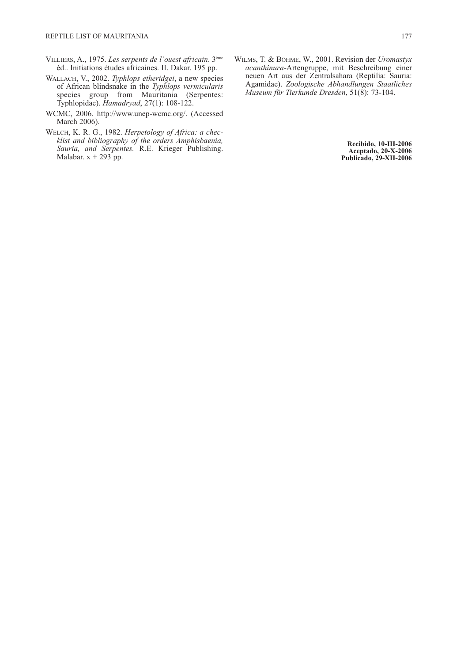- VILLIERS, A., 1975. *Les serpents de l'ouest africain*. 3ème éd.. Initiations études africaines. II. Dakar. 195 pp.
- WALLACH, V., 2002. *Typhlops etheridgei*, a new species of African blindsnake in the *Typhlops vermicularis* species group from Mauritania (Serpentes: Typhlopidae). *Hamadryad*, 27(1): 108-122.
- WCMC, 2006. http://www.unep-wcmc.org/. (Accessed March 2006).
- WELCH, K. R. G., 1982. *Herpetology of Africa: a checklist and bibliography of the orders Amphisbaenia, Sauria, and Serpentes.* R.E. Krieger Publishing. Malabar.  $x + 293$  pp.
- WILMS, T. & BÖHME, W., 2001. Revision der *Uromastyx acanthinura*-Artengruppe, mit Beschreibung einer neuen Art aus der Zentralsahara (Reptilia: Sauria: Agamidae). *Zoologische Abhandlungen Staatliches Museum für Tierkunde Dresden*, 51(8): 73-104.

**Recibido, 10-III-2006 Aceptado, 20-X-2006 Publicado, 29-XII-2006**